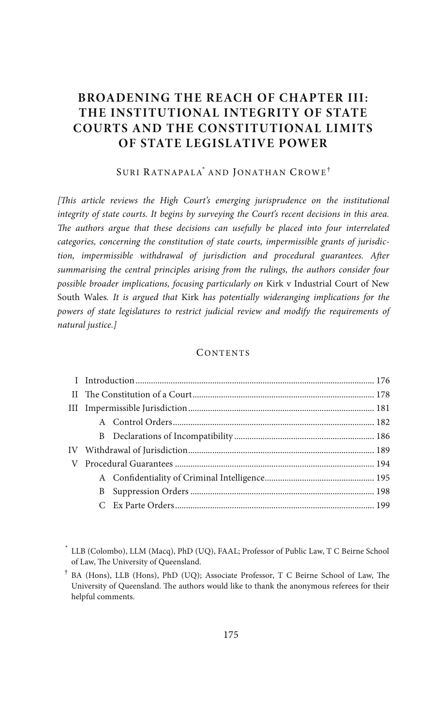# **BROADENING THE REACH OF CHAPTER III: THE INSTITUTIONAL INTEGRITY OF STATE COURTS AND THE CONSTITUTIONAL LIMITS OF STATE LEGISLATIVE POWER**

#### SURI RATNAPALA\* AND JONATHAN CROWE†

[This article reviews the High Court's emerging jurisprudence on the institutional *integrity of state courts. It begins by surveying the Court's recent decisions in this area.*  The authors argue that these decisions can usefully be placed into four interrelated *categories, concerning the constitution of state courts, impermissible grants of jurisdic*tion, impermissible withdrawal of jurisdiction and procedural guarantees. After *summarising the central principles arising from the rulings, the authors consider four possible broader implications, focusing particularly on* Kirk v Industrial Court of New South Wales*. It is argued that* Kirk *has potentially wideranging implications for the powers of state legislatures to restrict judicial review and modify the requirements of natural justice.]*

#### **CONTENTS**

<sup>\*</sup> LLB (Colombo), LLM (Macq), PhD (UQ), FAAL; Professor of Public Law, T C Beirne School of Law, The University of Queensland.

<sup>&</sup>lt;sup>†</sup> BA (Hons), LLB (Hons), PhD (UQ); Associate Professor, T C Beirne School of Law, The University of Queensland. The authors would like to thank the anonymous referees for their helpful comments.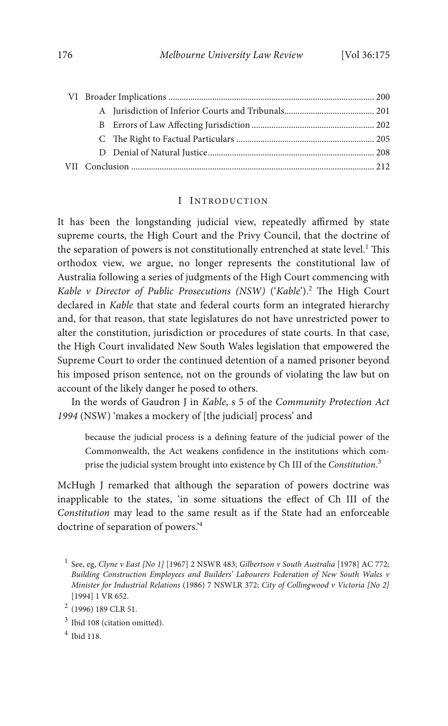## I INTRODUCTION

It has been the longstanding judicial view, repeatedly affirmed by state supreme courts, the High Court and the Privy Council, that the doctrine of the separation of powers is not constitutionally entrenched at state level.<sup>1</sup> This orthodox view, we argue, no longer represents the constitutional law of Australia following a series of judgments of the High Court commencing with *Kable v Director of Public Prosecutions (NSW)* ('*Kable*').<sup>2</sup> The High Court declared in *Kable* that state and federal courts form an integrated hierarchy and, for that reason, that state legislatures do not have unrestricted power to alter the constitution, jurisdiction or procedures of state courts. In that case, the High Court invalidated New South Wales legislation that empowered the Supreme Court to order the continued detention of a named prisoner beyond his imposed prison sentence, not on the grounds of violating the law but on account of the likely danger he posed to others.

In the words of Gaudron J in *Kable*, s 5 of the *Community Protection Act 1994* (NSW) 'makes a mockery of [the judicial] process' and

because the judicial process is a dening feature of the judicial power of the Commonwealth, the Act weakens confidence in the institutions which comprise the judicial system brought into existence by Ch III of the *Constitution*. 3

McHugh J remarked that although the separation of powers doctrine was inapplicable to the states, 'in some situations the effect of Ch III of the *Constitution* may lead to the same result as if the State had an enforceable doctrine of separation of powers.' 4

<sup>1</sup> See, eg, *Clyne v East [No 1]* [1967] 2 NSWR 483; *Gilbertson v South Australia* [1978] AC 772; *Building Construction Employees and Builders' Labourers Federation of New South Wales v Minister for Industrial Relations* (1986) 7 NSWLR 372; *City of Collingwood v Victoria [No 2]* [1994] 1 VR 652.

<sup>2</sup> (1996) 189 CLR 51.

 $3$  Ibid 108 (citation omitted).

<sup>4</sup> Ibid 118.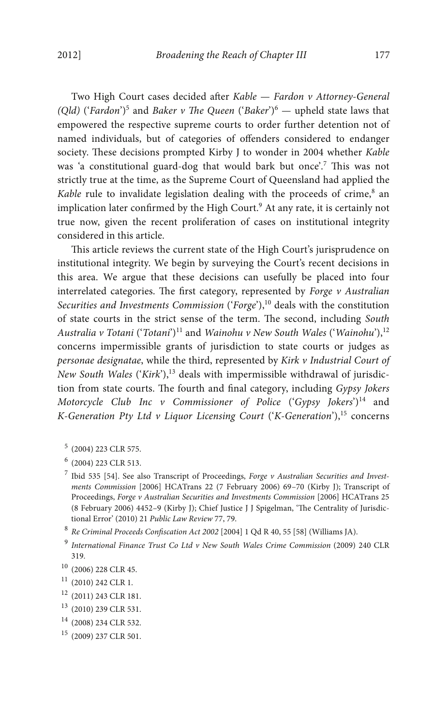Two High Court cases decided after *Kable — Fardon v Attorney-General (Qld)* ('*Fardon*')<sup>5</sup> and *Baker v The Queen* ('*Baker*')<sup>6</sup> — upheld state laws that empowered the respective supreme courts to order further detention not of named individuals, but of categories of offenders considered to endanger society. These decisions prompted Kirby J to wonder in 2004 whether *Kable* was 'a constitutional guard-dog that would bark but once'.<sup>7</sup> This was not strictly true at the time, as the Supreme Court of Queensland had applied the *Kable* rule to invalidate legislation dealing with the proceeds of crime,<sup>8</sup> an implication later confirmed by the High Court.<sup>9</sup> At any rate, it is certainly not true now, given the recent proliferation of cases on institutional integrity considered in this article.

This article reviews the current state of the High Court's jurisprudence on institutional integrity. We begin by surveying the Court's recent decisions in this area. We argue that these decisions can usefully be placed into four interrelated categories. The first category, represented by *Forge v Australian Securities and Investments Commission* ('*Forge*'),<sup>10</sup> deals with the constitution of state courts in the strict sense of the term. The second, including *South Australia v Totani* ('*Totani*') <sup>11</sup> and *Wainohu v New South Wales* ('*Wainohu*'),<sup>12</sup> concerns impermissible grants of jurisdiction to state courts or judges as *personae designatae*, while the third, represented by *Kirk v Industrial Court of New South Wales* ('*Kirk*'),<sup>13</sup> deals with impermissible withdrawal of jurisdiction from state courts. The fourth and final category, including *Gypsy Jokers Motorcycle Club Inc v Commissioner of Police* ('*Gypsy Jokers*') <sup>14</sup> and *K-Generation Pty Ltd v Liquor Licensing Court* ('*K-Generation*'),<sup>15</sup> concerns

<sup>5</sup> (2004) 223 CLR 575.

- <sup>10</sup> (2006) 228 CLR 45.
- $11$  (2010) 242 CLR 1.
- <sup>12</sup> (2011) 243 CLR 181.
- <sup>13</sup> (2010) 239 CLR 531.
- <sup>14</sup> (2008) 234 CLR 532.
- <sup>15</sup> (2009) 237 CLR 501.

<sup>6</sup> (2004) 223 CLR 513.

<sup>7</sup> Ibid 535 [54]. See also Transcript of Proceedings, *Forge v Australian Securities and Investments Commission* [2006] HCATrans 22 (7 February 2006) 69–70 (Kirby J); Transcript of Proceedings, *Forge v Australian Securities and Investments Commission* [2006] HCATrans 25 (8 February 2006) 4452-9 (Kirby J); Chief Justice J J Spigelman, 'The Centrality of Jurisdictional Error' (2010) 21 *Public Law Review* 77, 79.

 $8$  *Re Criminal Proceeds Confiscation Act 2002* [2004] 1 Qd R 40, 55 [58] (Williams JA).

<sup>9</sup> *International Finance Trust Co Ltd v New South Wales Crime Commission* (2009) 240 CLR 319.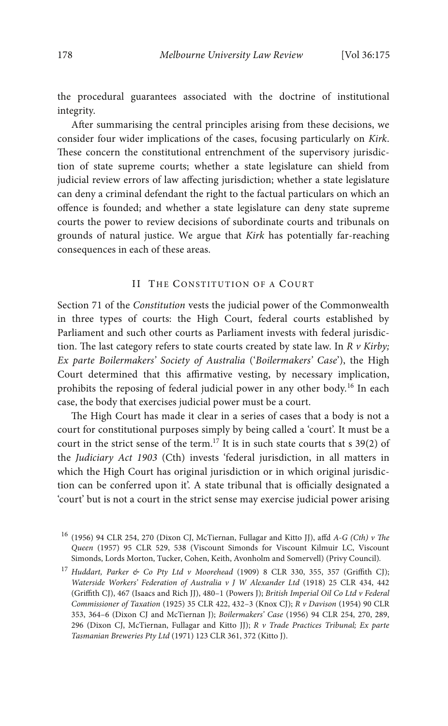the procedural guarantees associated with the doctrine of institutional integrity.

After summarising the central principles arising from these decisions, we consider four wider implications of the cases, focusing particularly on *Kirk*. These concern the constitutional entrenchment of the supervisory jurisdiction of state supreme courts; whether a state legislature can shield from judicial review errors of law affecting jurisdiction; whether a state legislature can deny a criminal defendant the right to the factual particulars on which an offence is founded; and whether a state legislature can deny state supreme courts the power to review decisions of subordinate courts and tribunals on grounds of natural justice. We argue that *Kirk* has potentially far-reaching consequences in each of these areas.

## II THE CONSTITUTION OF A COURT

Section 71 of the *Constitution* vests the judicial power of the Commonwealth in three types of courts: the High Court, federal courts established by Parliament and such other courts as Parliament invests with federal jurisdiction. The last category refers to state courts created by state law. In  $R$   $\nu$  Kirby; *Ex parte Boilermakers' Society of Australia* ('*Boilermakers' Case*'), the High Court determined that this affirmative vesting, by necessary implication, prohibits the reposing of federal judicial power in any other body.<sup>16</sup> In each case, the body that exercises judicial power must be a court.

The High Court has made it clear in a series of cases that a body is not a court for constitutional purposes simply by being called a 'court'. It must be a court in the strict sense of the term.<sup>17</sup> It is in such state courts that s  $39(2)$  of the *Judiciary Act 1903* (Cth) invests 'federal jurisdiction, in all matters in which the High Court has original jurisdiction or in which original jurisdiction can be conferred upon it'. A state tribunal that is officially designated a 'court' but is not a court in the strict sense may exercise judicial power arising

 $^{16}$  (1956) 94 CLR 254, 270 (Dixon CJ, McTiernan, Fullagar and Kitto JJ), affd  $A$ -G (Cth) v The *Queen* (1957) 95 CLR 529, 538 (Viscount Simonds for Viscount Kilmuir LC, Viscount Simonds, Lords Morton, Tucker, Cohen, Keith, Avonholm and Somervell) (Privy Council).

<sup>17</sup> *Huddart, Parker & Co Pty Ltd v Moorehead* (1909) 8 CLR 330, 355, 357 (Griffith CJ); *Waterside Workers' Federation of Australia v J W Alexander Ltd* (1918) 25 CLR 434, 442 (Griffith CJ), 467 (Isaacs and Rich JJ), 480–1 (Powers J); *British Imperial Oil Co Ltd v Federal Commissioner of Taxation* (1925) 35 CLR 422, 432–3 (Knox CJ); *R v Davison* (1954) 90 CLR 353, 364–6 (Dixon CJ and McTiernan J); *Boilermakers' Case* (1956) 94 CLR 254, 270, 289, 296 (Dixon CJ, McTiernan, Fullagar and Kitto JJ); *R v Trade Practices Tribunal; Ex parte Tasmanian Breweries Pty Ltd* (1971) 123 CLR 361, 372 (Kitto J).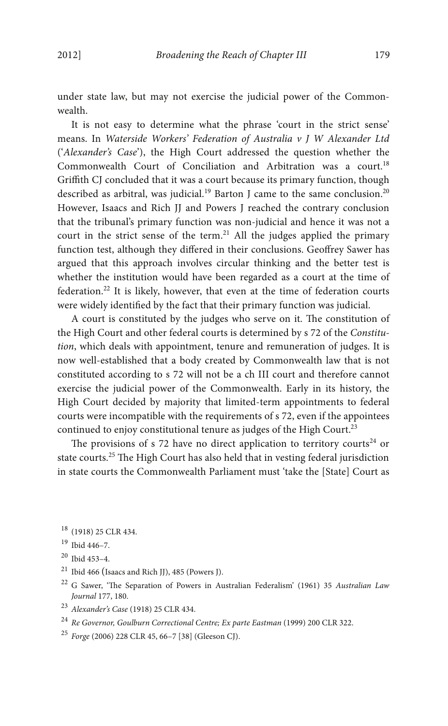under state law, but may not exercise the judicial power of the Commonwealth.

It is not easy to determine what the phrase 'court in the strict sense' means. In *Waterside Workers' Federation of Australia v J W Alexander Ltd*  ('*Alexander's Case*'), the High Court addressed the question whether the Commonwealth Court of Conciliation and Arbitration was a court.<sup>18</sup> Griffith CJ concluded that it was a court because its primary function, though described as arbitral, was judicial.<sup>19</sup> Barton J came to the same conclusion.<sup>20</sup> However, Isaacs and Rich JJ and Powers J reached the contrary conclusion that the tribunal's primary function was non-judicial and hence it was not a court in the strict sense of the term.<sup>21</sup> All the judges applied the primary function test, although they differed in their conclusions. Geoffrey Sawer has argued that this approach involves circular thinking and the better test is whether the institution would have been regarded as a court at the time of federation.<sup>22</sup> It is likely, however, that even at the time of federation courts were widely identified by the fact that their primary function was judicial.

A court is constituted by the judges who serve on it. The constitution of the High Court and other federal courts is determined by s 72 of the *Constitution*, which deals with appointment, tenure and remuneration of judges. It is now well-established that a body created by Commonwealth law that is not constituted according to s 72 will not be a ch III court and therefore cannot exercise the judicial power of the Commonwealth. Early in its history, the High Court decided by majority that limited-term appointments to federal courts were incompatible with the requirements of s 72, even if the appointees continued to enjoy constitutional tenure as judges of the High Court.<sup>23</sup>

The provisions of s 72 have no direct application to territory courts<sup>24</sup> or state courts.<sup>25</sup> The High Court has also held that in vesting federal jurisdiction in state courts the Commonwealth Parliament must 'take the [State] Court as

<sup>18</sup> (1918) 25 CLR 434.

- <sup>21</sup> Ibid 466 (Isaacs and Rich JJ), 485 (Powers J).
- <sup>22</sup> G Sawer, 'The Separation of Powers in Australian Federalism' (1961) 35 Australian Law *Journal* 177, 180.
- <sup>23</sup> *Alexander's Case* (1918) 25 CLR 434.
- <sup>24</sup> *Re Governor, Goulburn Correctional Centre; Ex parte Eastman* (1999) 200 CLR 322.
- <sup>25</sup> *Forge* (2006) 228 CLR 45, 66–7 [38] (Gleeson CJ).

<sup>19</sup> Ibid 446–7.

<sup>20</sup> Ibid 453–4.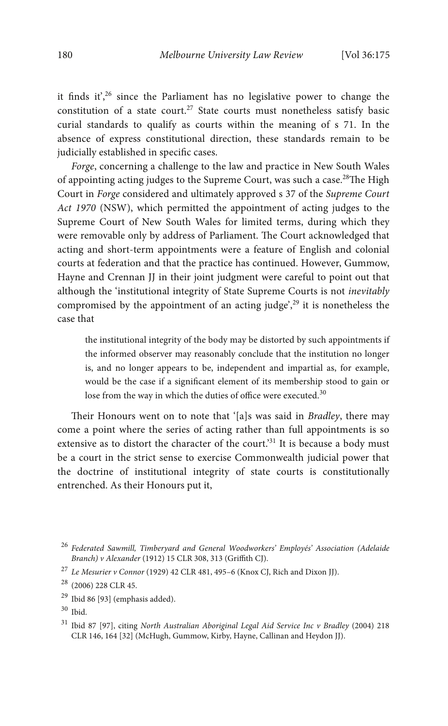it finds it',<sup>26</sup> since the Parliament has no legislative power to change the constitution of a state court.<sup>27</sup> State courts must nonetheless satisfy basic curial standards to qualify as courts within the meaning of s 71. In the absence of express constitutional direction, these standards remain to be judicially established in specific cases.

*Forge*, concerning a challenge to the law and practice in New South Wales of appointing acting judges to the Supreme Court, was such a case.<sup>28</sup>The High Court in *Forge* considered and ultimately approved s 37 of the *Supreme Court Act 1970* (NSW), which permitted the appointment of acting judges to the Supreme Court of New South Wales for limited terms, during which they were removable only by address of Parliament. The Court acknowledged that acting and short-term appointments were a feature of English and colonial courts at federation and that the practice has continued. However, Gummow, Hayne and Crennan JJ in their joint judgment were careful to point out that although the 'institutional integrity of State Supreme Courts is not *inevitably* compromised by the appointment of an acting judge', <sup>29</sup> it is nonetheless the case that

the institutional integrity of the body may be distorted by such appointments if the informed observer may reasonably conclude that the institution no longer is, and no longer appears to be, independent and impartial as, for example, would be the case if a signicant element of its membership stood to gain or lose from the way in which the duties of office were executed.<sup>30</sup>

Their Honours went on to note that '[a]s was said in *Bradley*, there may come a point where the series of acting rather than full appointments is so extensive as to distort the character of the court.<sup>31</sup> It is because a body must be a court in the strict sense to exercise Commonwealth judicial power that the doctrine of institutional integrity of state courts is constitutionally entrenched. As their Honours put it,

<sup>26</sup> *Federated Sawmill, Timberyard and General Woodworkers' Employés' Association (Adelaide Branch) v Alexander* (1912) 15 CLR 308, 313 (Griffith CJ).

<sup>27</sup> *Le Mesurier v Connor* (1929) 42 CLR 481, 495–6 (Knox CJ, Rich and Dixon JJ).

<sup>28</sup> (2006) 228 CLR 45.

<sup>29</sup> Ibid 86 [93] (emphasis added).

 $30$  Ibid.

<sup>31</sup> Ibid 87 [97], citing *North Australian Aboriginal Legal Aid Service Inc v Bradley* (2004) 218 CLR 146, 164 [32] (McHugh, Gummow, Kirby, Hayne, Callinan and Heydon JJ).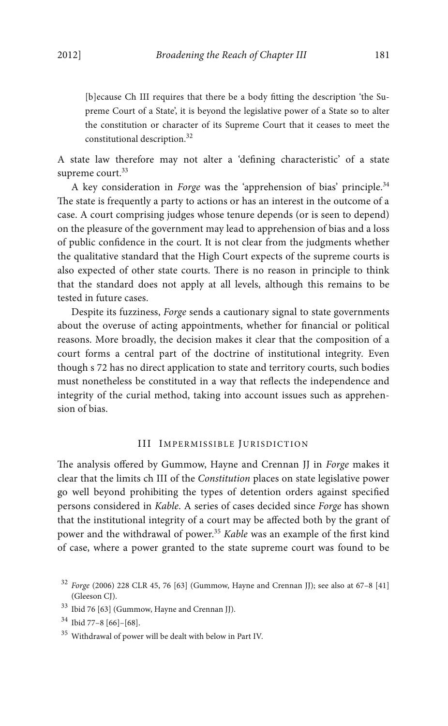[b]ecause Ch III requires that there be a body fitting the description 'the Supreme Court of a State', it is beyond the legislative power of a State so to alter the constitution or character of its Supreme Court that it ceases to meet the constitutional description.<sup>32</sup>

A state law therefore may not alter a 'defining characteristic' of a state supreme court.<sup>33</sup>

A key consideration in *Forge* was the 'apprehension of bias' principle.<sup>34</sup> The state is frequently a party to actions or has an interest in the outcome of a case. A court comprising judges whose tenure depends (or is seen to depend) on the pleasure of the government may lead to apprehension of bias and a loss of public condence in the court. It is not clear from the judgments whether the qualitative standard that the High Court expects of the supreme courts is also expected of other state courts. There is no reason in principle to think that the standard does not apply at all levels, although this remains to be tested in future cases.

Despite its fuzziness, *Forge* sends a cautionary signal to state governments about the overuse of acting appointments, whether for financial or political reasons. More broadly, the decision makes it clear that the composition of a court forms a central part of the doctrine of institutional integrity. Even though s 72 has no direct application to state and territory courts, such bodies must nonetheless be constituted in a way that reflects the independence and integrity of the curial method, taking into account issues such as apprehension of bias.

## III IMPERMISSIBLE JURISDICTION

e analysis offered by Gummow, Hayne and Crennan JJ in *Forge* makes it clear that the limits ch III of the *Constitution* places on state legislative power go well beyond prohibiting the types of detention orders against specified persons considered in *Kable*. A series of cases decided since *Forge* has shown that the institutional integrity of a court may be affected both by the grant of power and the withdrawal of power.<sup>35</sup> *Kable* was an example of the first kind of case, where a power granted to the state supreme court was found to be

<sup>32</sup> *Forge* (2006) 228 CLR 45, 76 [63] (Gummow, Hayne and Crennan JJ); see also at 67–8 [41] (Gleeson CJ).

<sup>33</sup> Ibid 76 [63] (Gummow, Hayne and Crennan JJ).

<sup>34</sup> Ibid 77–8 [66]–[68].

<sup>35</sup> Withdrawal of power will be dealt with below in Part IV.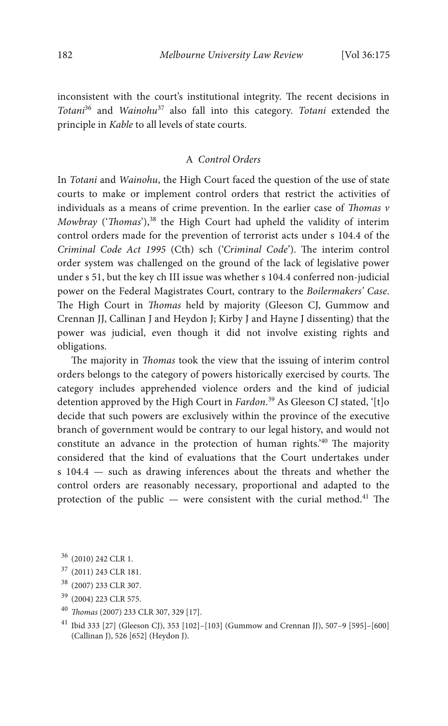inconsistent with the court's institutional integrity. The recent decisions in *Totani*<sup>36</sup> and *Wainohu*<sup>37</sup> also fall into this category. *Totani* extended the principle in *Kable* to all levels of state courts.

# A *Control Orders*

In *Totani* and *Wainohu*, the High Court faced the question of the use of state courts to make or implement control orders that restrict the activities of individuals as a means of crime prevention. In the earlier case of *Thomas v Mowbray* ('*Thomas*'),<sup>38</sup> the High Court had upheld the validity of interim control orders made for the prevention of terrorist acts under s 104.4 of the *Criminal Code Act 1995* (Cth) sch ('*Criminal Code*'). The interim control order system was challenged on the ground of the lack of legislative power under s 51, but the key ch III issue was whether s 104.4 conferred non-judicial power on the Federal Magistrates Court, contrary to the *Boilermakers' Case*. The High Court in *Thomas* held by majority (Gleeson CJ, Gummow and Crennan JJ, Callinan J and Heydon J; Kirby J and Hayne J dissenting) that the power was judicial, even though it did not involve existing rights and obligations.

The majority in *Thomas* took the view that the issuing of interim control orders belongs to the category of powers historically exercised by courts. The category includes apprehended violence orders and the kind of judicial detention approved by the High Court in *Fardon*. <sup>39</sup> As Gleeson CJ stated, '[t]o decide that such powers are exclusively within the province of the executive branch of government would be contrary to our legal history, and would not constitute an advance in the protection of human rights.<sup>240</sup> The majority considered that the kind of evaluations that the Court undertakes under s 104.4 — such as drawing inferences about the threats and whether the control orders are reasonably necessary, proportional and adapted to the protection of the public  $-$  were consistent with the curial method.<sup>41</sup> The

- <sup>37</sup> (2011) 243 CLR 181.
- <sup>38</sup> (2007) 233 CLR 307.
- <sup>39</sup> (2004) 223 CLR 575.
- 40 *Thomas* (2007) 233 CLR 307, 329 [17].
- <sup>41</sup> Ibid 333 [27] (Gleeson CJ), 353 [102]–[103] (Gummow and Crennan JJ), 507–9 [595]–[600] (Callinan J), 526 [652] (Heydon J).

<sup>36</sup> (2010) 242 CLR 1.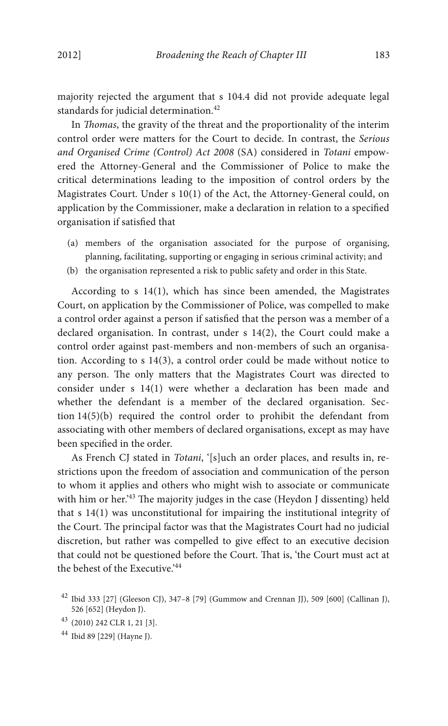majority rejected the argument that s 104.4 did not provide adequate legal standards for judicial determination.<sup>42</sup>

In *Thomas*, the gravity of the threat and the proportionality of the interim control order were matters for the Court to decide. In contrast, the *Serious and Organised Crime (Control) Act 2008* (SA) considered in *Totani* empowered the Attorney-General and the Commissioner of Police to make the critical determinations leading to the imposition of control orders by the Magistrates Court. Under s 10(1) of the Act, the Attorney-General could, on application by the Commissioner, make a declaration in relation to a specified organisation if satisfied that

- (a) members of the organisation associated for the purpose of organising, planning, facilitating, supporting or engaging in serious criminal activity; and
- (b) the organisation represented a risk to public safety and order in this State.

According to s 14(1), which has since been amended, the Magistrates Court, on application by the Commissioner of Police, was compelled to make a control order against a person if satisfied that the person was a member of a declared organisation. In contrast, under s 14(2), the Court could make a control order against past-members and non-members of such an organisation. According to s 14(3), a control order could be made without notice to any person. The only matters that the Magistrates Court was directed to consider under s 14(1) were whether a declaration has been made and whether the defendant is a member of the declared organisation. Section 14(5)(b) required the control order to prohibit the defendant from associating with other members of declared organisations, except as may have been specified in the order.

As French CJ stated in *Totani*, '[s]uch an order places, and results in, restrictions upon the freedom of association and communication of the person to whom it applies and others who might wish to associate or communicate with him or her.<sup>43</sup> The majority judges in the case (Heydon J dissenting) held that s 14(1) was unconstitutional for impairing the institutional integrity of the Court. The principal factor was that the Magistrates Court had no judicial discretion, but rather was compelled to give effect to an executive decision that could not be questioned before the Court. That is, 'the Court must act at the behest of the Executive.<sup>244</sup>

 $42$  Ibid 333 [27] (Gleeson CJ), 347–8 [79] (Gummow and Crennan JJ), 509 [600] (Callinan J), 526 [652] (Heydon J).

<sup>43</sup> (2010) 242 CLR 1, 21 [3].

<sup>44</sup> Ibid 89 [229] (Hayne J).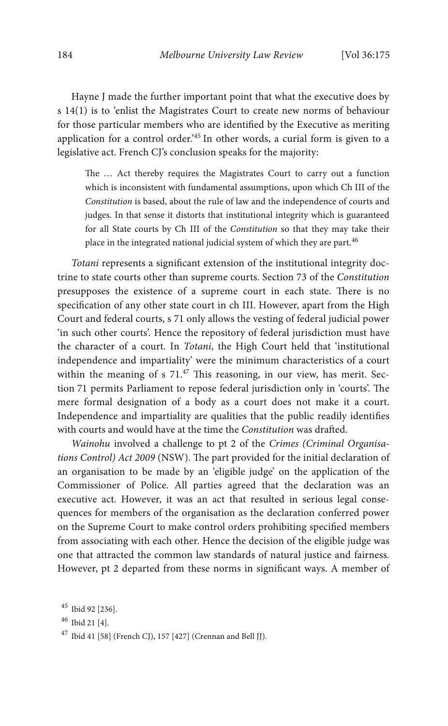Hayne J made the further important point that what the executive does by s 14(1) is to 'enlist the Magistrates Court to create new norms of behaviour for those particular members who are identified by the Executive as meriting application for a control order.' <sup>45</sup> In other words, a curial form is given to a legislative act. French CJ's conclusion speaks for the majority:

The ... Act thereby requires the Magistrates Court to carry out a function which is inconsistent with fundamental assumptions, upon which Ch III of the *Constitution* is based, about the rule of law and the independence of courts and judges. In that sense it distorts that institutional integrity which is guaranteed for all State courts by Ch III of the *Constitution* so that they may take their place in the integrated national judicial system of which they are part.<sup>46</sup>

*Totani* represents a significant extension of the institutional integrity doctrine to state courts other than supreme courts. Section 73 of the *Constitution* presupposes the existence of a supreme court in each state. There is no specification of any other state court in ch III. However, apart from the High Court and federal courts, s 71 only allows the vesting of federal judicial power 'in such other courts'. Hence the repository of federal jurisdiction must have the character of a court. In *Totani*, the High Court held that 'institutional independence and impartiality' were the minimum characteristics of a court within the meaning of s  $71.47$  This reasoning, in our view, has merit. Section 71 permits Parliament to repose federal jurisdiction only in 'courts'. The mere formal designation of a body as a court does not make it a court. Independence and impartiality are qualities that the public readily identifies with courts and would have at the time the *Constitution* was drafted.

*Wainohu* involved a challenge to pt 2 of the *Crimes (Criminal Organisations Control) Act 2009* (NSW). The part provided for the initial declaration of an organisation to be made by an 'eligible judge' on the application of the Commissioner of Police. All parties agreed that the declaration was an executive act. However, it was an act that resulted in serious legal consequences for members of the organisation as the declaration conferred power on the Supreme Court to make control orders prohibiting specified members from associating with each other. Hence the decision of the eligible judge was one that attracted the common law standards of natural justice and fairness. However, pt 2 departed from these norms in significant ways. A member of

```
45 Ibid 92 [236].
```

```
46 Ibid 21 [4].
```

```
47 Ibid 41 [58] (French CJ), 157 [427] (Crennan and Bell JJ).
```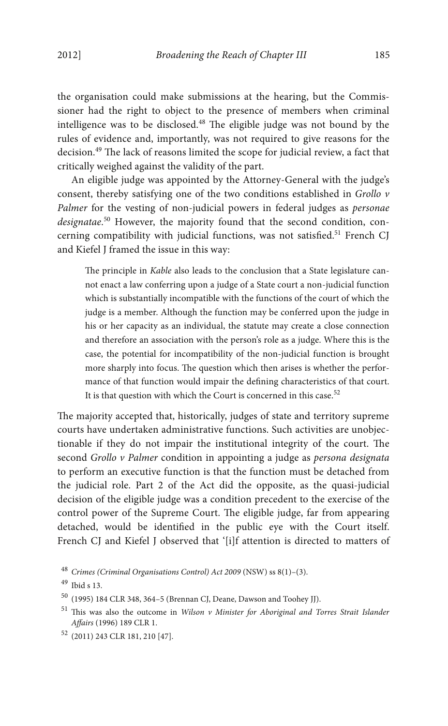the organisation could make submissions at the hearing, but the Commissioner had the right to object to the presence of members when criminal intelligence was to be disclosed. $48$  The eligible judge was not bound by the rules of evidence and, importantly, was not required to give reasons for the decision.<sup>49</sup> The lack of reasons limited the scope for judicial review, a fact that critically weighed against the validity of the part.

An eligible judge was appointed by the Attorney-General with the judge's consent, thereby satisfying one of the two conditions established in *Grollo v Palmer* for the vesting of non-judicial powers in federal judges as *personae designatae*. <sup>50</sup> However, the majority found that the second condition, concerning compatibility with judicial functions, was not satisfied.<sup>51</sup> French CJ and Kiefel J framed the issue in this way:

The principle in *Kable* also leads to the conclusion that a State legislature cannot enact a law conferring upon a judge of a State court a non-judicial function which is substantially incompatible with the functions of the court of which the judge is a member. Although the function may be conferred upon the judge in his or her capacity as an individual, the statute may create a close connection and therefore an association with the person's role as a judge. Where this is the case, the potential for incompatibility of the non-judicial function is brought more sharply into focus. The question which then arises is whether the performance of that function would impair the defining characteristics of that court. It is that question with which the Court is concerned in this case.<sup>52</sup>

The majority accepted that, historically, judges of state and territory supreme courts have undertaken administrative functions. Such activities are unobjectionable if they do not impair the institutional integrity of the court. The second *Grollo v Palmer* condition in appointing a judge as *persona designata* to perform an executive function is that the function must be detached from the judicial role. Part 2 of the Act did the opposite, as the quasi-judicial decision of the eligible judge was a condition precedent to the exercise of the control power of the Supreme Court. The eligible judge, far from appearing detached, would be identified in the public eye with the Court itself. French CJ and Kiefel J observed that '[i]f attention is directed to matters of

<sup>48</sup> *Crimes (Criminal Organisations Control) Act 2009* (NSW) ss 8(1)–(3).

<sup>49</sup> Ibid s 13.

<sup>50</sup> (1995) 184 CLR 348, 364–5 (Brennan CJ, Deane, Dawson and Toohey JJ).

<sup>&</sup>lt;sup>51</sup> This was also the outcome in *Wilson v Minister for Aboriginal and Torres Strait Islander Affairs* (1996) 189 CLR 1.

<sup>52</sup> (2011) 243 CLR 181, 210 [47].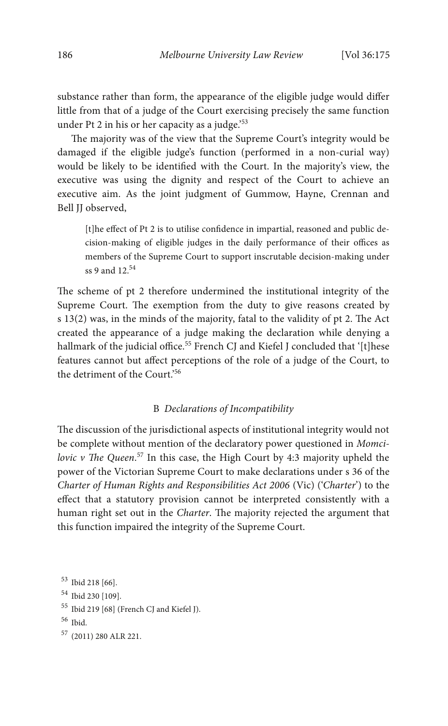substance rather than form, the appearance of the eligible judge would differ little from that of a judge of the Court exercising precisely the same function under Pt 2 in his or her capacity as a judge.' 53

The majority was of the view that the Supreme Court's integrity would be damaged if the eligible judge's function (performed in a non-curial way) would be likely to be identified with the Court. In the majority's view, the executive was using the dignity and respect of the Court to achieve an executive aim. As the joint judgment of Gummow, Hayne, Crennan and Bell JJ observed,

[t]he effect of Pt 2 is to utilise confidence in impartial, reasoned and public decision-making of eligible judges in the daily performance of their offices as members of the Supreme Court to support inscrutable decision-making under ss 9 and 12.54

The scheme of pt 2 therefore undermined the institutional integrity of the Supreme Court. The exemption from the duty to give reasons created by s  $13(2)$  was, in the minds of the majority, fatal to the validity of pt 2. The Act created the appearance of a judge making the declaration while denying a hallmark of the judicial office.<sup>55</sup> French CJ and Kiefel J concluded that '[t]hese features cannot but affect perceptions of the role of a judge of the Court, to the detriment of the Court.' 56

## B *Declarations of Incompatibility*

The discussion of the jurisdictional aspects of institutional integrity would not be complete without mention of the declaratory power questioned in *Momci*lovic v The Queen.<sup>57</sup> In this case, the High Court by 4:3 majority upheld the power of the Victorian Supreme Court to make declarations under s 36 of the *Charter of Human Rights and Responsibilities Act 2006* (Vic) ('*Charter*') to the effect that a statutory provision cannot be interpreted consistently with a human right set out in the *Charter*. The majority rejected the argument that this function impaired the integrity of the Supreme Court.

```
53 Ibid 218 [66].
54 Ibid 230 [109].
55 Ibid 219 [68] (French CJ and Kiefel J).
56 Ibid.
57 (2011) 280 ALR 221.
```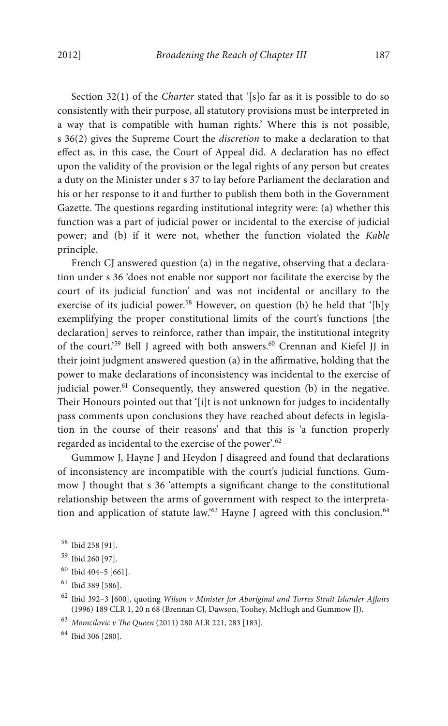Section 32(1) of the *Charter* stated that '[s]o far as it is possible to do so consistently with their purpose, all statutory provisions must be interpreted in a way that is compatible with human rights.' Where this is not possible, s 36(2) gives the Supreme Court the *discretion* to make a declaration to that effect as, in this case, the Court of Appeal did. A declaration has no effect upon the validity of the provision or the legal rights of any person but creates a duty on the Minister under s 37 to lay before Parliament the declaration and his or her response to it and further to publish them both in the Government Gazette. The questions regarding institutional integrity were: (a) whether this function was a part of judicial power or incidental to the exercise of judicial power; and (b) if it were not, whether the function violated the *Kable* principle.

French CJ answered question (a) in the negative, observing that a declaration under s 36 'does not enable nor support nor facilitate the exercise by the court of its judicial function' and was not incidental or ancillary to the exercise of its judicial power.<sup>58</sup> However, on question (b) he held that '[b]y exemplifying the proper constitutional limits of the court's functions [the declaration] serves to reinforce, rather than impair, the institutional integrity of the court.<sup>59</sup> Bell J agreed with both answers.<sup>60</sup> Crennan and Kiefel JJ in their joint judgment answered question (a) in the affirmative, holding that the power to make declarations of inconsistency was incidental to the exercise of judicial power. $61$  Consequently, they answered question (b) in the negative. Their Honours pointed out that '[i]t is not unknown for judges to incidentally pass comments upon conclusions they have reached about defects in legislation in the course of their reasons' and that this is 'a function properly regarded as incidental to the exercise of the power'. 62

Gummow J, Hayne J and Heydon J disagreed and found that declarations of inconsistency are incompatible with the court's judicial functions. Gummow J thought that s 36 'attempts a significant change to the constitutional relationship between the arms of government with respect to the interpretation and application of statute law.'<sup>63</sup> Hayne J agreed with this conclusion.<sup>64</sup>

<sup>63</sup> Momcilovic v The Queen (2011) 280 ALR 221, 283 [183].

<sup>64</sup> Ibid 306 [280].

<sup>58</sup> Ibid 258 [91].

<sup>59</sup> Ibid 260 [97].

<sup>60</sup> Ibid 404–5 [661].

<sup>61</sup> Ibid 389 [586].

<sup>62</sup> Ibid 392–3 [600], quoting *Wilson v Minister for Aboriginal and Torres Strait Islander Affairs* (1996) 189 CLR 1, 20 n 68 (Brennan CJ, Dawson, Toohey, McHugh and Gummow JJ).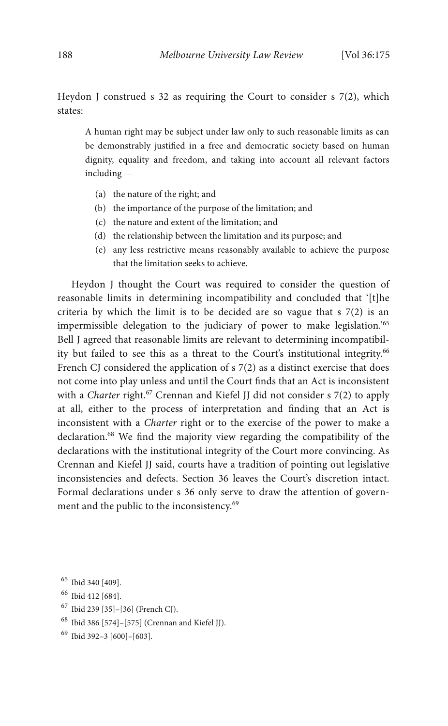Heydon J construed s 32 as requiring the Court to consider s  $7(2)$ , which states:

A human right may be subject under law only to such reasonable limits as can be demonstrably justified in a free and democratic society based on human dignity, equality and freedom, and taking into account all relevant factors including —

- (a) the nature of the right; and
- (b) the importance of the purpose of the limitation; and
- (c) the nature and extent of the limitation; and
- (d) the relationship between the limitation and its purpose; and
- (e) any less restrictive means reasonably available to achieve the purpose that the limitation seeks to achieve.

Heydon J thought the Court was required to consider the question of reasonable limits in determining incompatibility and concluded that '[t]he criteria by which the limit is to be decided are so vague that s 7(2) is an impermissible delegation to the judiciary of power to make legislation.' 65 Bell J agreed that reasonable limits are relevant to determining incompatibility but failed to see this as a threat to the Court's institutional integrity.<sup>66</sup> French CJ considered the application of s 7(2) as a distinct exercise that does not come into play unless and until the Court finds that an Act is inconsistent with a *Charter* right.<sup>67</sup> Crennan and Kiefel JJ did not consider s 7(2) to apply at all, either to the process of interpretation and finding that an Act is inconsistent with a *Charter* right or to the exercise of the power to make a declaration.<sup>68</sup> We find the majority view regarding the compatibility of the declarations with the institutional integrity of the Court more convincing. As Crennan and Kiefel JJ said, courts have a tradition of pointing out legislative inconsistencies and defects. Section 36 leaves the Court's discretion intact. Formal declarations under s 36 only serve to draw the attention of government and the public to the inconsistency.<sup>69</sup>

- <sup>66</sup> Ibid 412 [684].
- <sup>67</sup> Ibid 239 [35]–[36] (French CJ).
- <sup>68</sup> Ibid 386 [574]–[575] (Crennan and Kiefel JJ).
- <sup>69</sup> Ibid 392–3 [600]–[603].

<sup>65</sup> Ibid 340 [409].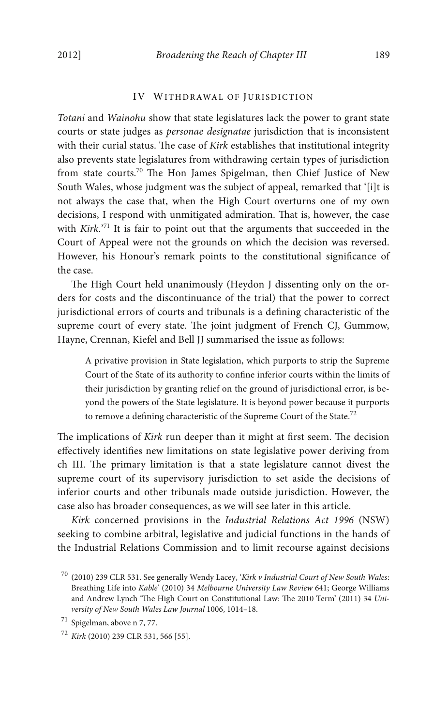#### IV WITHDRAWAL OF JURISDICTION

*Totani* and *Wainohu* show that state legislatures lack the power to grant state courts or state judges as *personae designatae* jurisdiction that is inconsistent with their curial status. The case of *Kirk* establishes that institutional integrity also prevents state legislatures from withdrawing certain types of jurisdiction from state courts.<sup>70</sup> The Hon James Spigelman, then Chief Justice of New South Wales, whose judgment was the subject of appeal, remarked that '[i]t is not always the case that, when the High Court overturns one of my own decisions, I respond with unmitigated admiration. That is, however, the case with *Kirk*.' <sup>71</sup> It is fair to point out that the arguments that succeeded in the Court of Appeal were not the grounds on which the decision was reversed. However, his Honour's remark points to the constitutional significance of the case.

The High Court held unanimously (Heydon J dissenting only on the orders for costs and the discontinuance of the trial) that the power to correct jurisdictional errors of courts and tribunals is a defining characteristic of the supreme court of every state. The joint judgment of French CJ, Gummow, Hayne, Crennan, Kiefel and Bell JJ summarised the issue as follows:

A privative provision in State legislation, which purports to strip the Supreme Court of the State of its authority to confine inferior courts within the limits of their jurisdiction by granting relief on the ground of jurisdictional error, is beyond the powers of the State legislature. It is beyond power because it purports to remove a defining characteristic of the Supreme Court of the State.<sup>72</sup>

The implications of *Kirk* run deeper than it might at first seem. The decision effectively identifies new limitations on state legislative power deriving from ch III. The primary limitation is that a state legislature cannot divest the supreme court of its supervisory jurisdiction to set aside the decisions of inferior courts and other tribunals made outside jurisdiction. However, the case also has broader consequences, as we will see later in this article.

*Kirk* concerned provisions in the *Industrial Relations Act 1996* (NSW) seeking to combine arbitral, legislative and judicial functions in the hands of the Industrial Relations Commission and to limit recourse against decisions

<sup>70</sup> (2010) 239 CLR 531. See generally Wendy Lacey, '*Kirk v Industrial Court of New South Wales*: Breathing Life into *Kable*' (2010) 34 *Melbourne University Law Review* 641; George Williams and Andrew Lynch 'The High Court on Constitutional Law: The 2010 Term' (2011) 34 *University of New South Wales Law Journal* 1006, 1014–18.

<sup>71</sup> Spigelman, above n 7, 77.

<sup>72</sup> *Kirk* (2010) 239 CLR 531, 566 [55].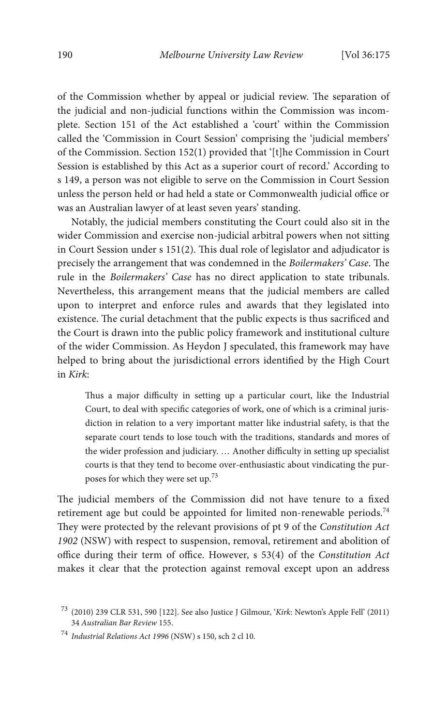of the Commission whether by appeal or judicial review. The separation of the judicial and non-judicial functions within the Commission was incomplete. Section 151 of the Act established a 'court' within the Commission called the 'Commission in Court Session' comprising the 'judicial members' of the Commission. Section 152(1) provided that '[t]he Commission in Court Session is established by this Act as a superior court of record.' According to s 149, a person was not eligible to serve on the Commission in Court Session unless the person held or had held a state or Commonwealth judicial office or was an Australian lawyer of at least seven years' standing.

Notably, the judicial members constituting the Court could also sit in the wider Commission and exercise non-judicial arbitral powers when not sitting in Court Session under  $s$  151(2). This dual role of legislator and adjudicator is precisely the arrangement that was condemned in the *Boilermakers' Case*. The rule in the *Boilermakers' Case* has no direct application to state tribunals. Nevertheless, this arrangement means that the judicial members are called upon to interpret and enforce rules and awards that they legislated into existence. The curial detachment that the public expects is thus sacrificed and the Court is drawn into the public policy framework and institutional culture of the wider Commission. As Heydon J speculated, this framework may have helped to bring about the jurisdictional errors identified by the High Court in *Kirk*:

Thus a major difficulty in setting up a particular court, like the Industrial Court, to deal with specific categories of work, one of which is a criminal jurisdiction in relation to a very important matter like industrial safety, is that the separate court tends to lose touch with the traditions, standards and mores of the wider profession and judiciary. … Another difficulty in setting up specialist courts is that they tend to become over-enthusiastic about vindicating the purposes for which they were set up.<sup>73</sup>

The judicial members of the Commission did not have tenure to a fixed retirement age but could be appointed for limited non-renewable periods.<sup>74</sup> They were protected by the relevant provisions of pt 9 of the *Constitution Act 1902* (NSW) with respect to suspension, removal, retirement and abolition of office during their term of office. However, s 53(4) of the *Constitution Act* makes it clear that the protection against removal except upon an address

<sup>73</sup> (2010) 239 CLR 531, 590 [122]. See also Justice J Gilmour, '*Kirk*: Newton's Apple Fell' (2011) 34 *Australian Bar Review* 155.

<sup>74</sup> *Industrial Relations Act 1996* (NSW) s 150, sch 2 cl 10.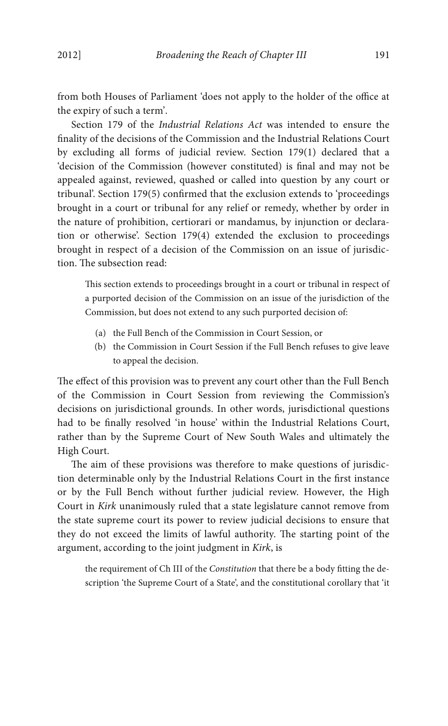from both Houses of Parliament 'does not apply to the holder of the office at the expiry of such a term'.

Section 179 of the *Industrial Relations Act* was intended to ensure the nality of the decisions of the Commission and the Industrial Relations Court by excluding all forms of judicial review. Section 179(1) declared that a 'decision of the Commission (however constituted) is final and may not be appealed against, reviewed, quashed or called into question by any court or tribunal'. Section 179(5) confirmed that the exclusion extends to 'proceedings brought in a court or tribunal for any relief or remedy, whether by order in the nature of prohibition, certiorari or mandamus, by injunction or declaration or otherwise'. Section 179(4) extended the exclusion to proceedings brought in respect of a decision of the Commission on an issue of jurisdiction. The subsection read:

This section extends to proceedings brought in a court or tribunal in respect of a purported decision of the Commission on an issue of the jurisdiction of the Commission, but does not extend to any such purported decision of:

- (a) the Full Bench of the Commission in Court Session, or
- (b) the Commission in Court Session if the Full Bench refuses to give leave to appeal the decision.

The effect of this provision was to prevent any court other than the Full Bench of the Commission in Court Session from reviewing the Commission's decisions on jurisdictional grounds. In other words, jurisdictional questions had to be finally resolved 'in house' within the Industrial Relations Court, rather than by the Supreme Court of New South Wales and ultimately the High Court.

The aim of these provisions was therefore to make questions of jurisdiction determinable only by the Industrial Relations Court in the first instance or by the Full Bench without further judicial review. However, the High Court in *Kirk* unanimously ruled that a state legislature cannot remove from the state supreme court its power to review judicial decisions to ensure that they do not exceed the limits of lawful authority. The starting point of the argument, according to the joint judgment in *Kirk*, is

the requirement of Ch III of the *Constitution* that there be a body fitting the description 'the Supreme Court of a State', and the constitutional corollary that 'it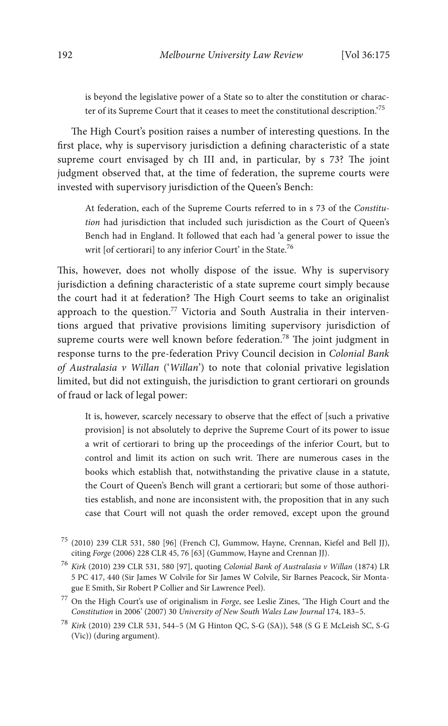is beyond the legislative power of a State so to alter the constitution or character of its Supreme Court that it ceases to meet the constitutional description.' 75

The High Court's position raises a number of interesting questions. In the first place, why is supervisory jurisdiction a defining characteristic of a state supreme court envisaged by ch III and, in particular, by s 73? The joint judgment observed that, at the time of federation, the supreme courts were invested with supervisory jurisdiction of the Queen's Bench:

At federation, each of the Supreme Courts referred to in s 73 of the *Constitution* had jurisdiction that included such jurisdiction as the Court of Queen's Bench had in England. It followed that each had 'a general power to issue the writ [of certiorari] to any inferior Court' in the State.<sup>76</sup>

This, however, does not wholly dispose of the issue. Why is supervisory jurisdiction a defining characteristic of a state supreme court simply because the court had it at federation? The High Court seems to take an originalist approach to the question.<sup>77</sup> Victoria and South Australia in their interventions argued that privative provisions limiting supervisory jurisdiction of supreme courts were well known before federation.<sup>78</sup> The joint judgment in response turns to the pre-federation Privy Council decision in *Colonial Bank of Australasia v Willan* ('*Willan*') to note that colonial privative legislation limited, but did not extinguish, the jurisdiction to grant certiorari on grounds of fraud or lack of legal power:

It is, however, scarcely necessary to observe that the effect of [such a privative provision] is not absolutely to deprive the Supreme Court of its power to issue a writ of certiorari to bring up the proceedings of the inferior Court, but to control and limit its action on such writ. There are numerous cases in the books which establish that, notwithstanding the privative clause in a statute, the Court of Queen's Bench will grant a certiorari; but some of those authorities establish, and none are inconsistent with, the proposition that in any such case that Court will not quash the order removed, except upon the ground

<sup>75</sup> (2010) 239 CLR 531, 580 [96] (French CJ, Gummow, Hayne, Crennan, Kiefel and Bell JJ), citing *Forge* (2006) 228 CLR 45, 76 [63] (Gummow, Hayne and Crennan JJ).

<sup>76</sup> *Kirk* (2010) 239 CLR 531, 580 [97], quoting *Colonial Bank of Australasia v Willan* (1874) LR 5 PC 417, 440 (Sir James W Colvile for Sir James W Colvile, Sir Barnes Peacock, Sir Montague E Smith, Sir Robert P Collier and Sir Lawrence Peel).

<sup>&</sup>lt;sup>77</sup> On the High Court's use of originalism in *Forge*, see Leslie Zines, 'The High Court and the *Constitution* in 2006' (2007) 30 *University of New South Wales Law Journal* 174, 183–5.

<sup>78</sup> *Kirk* (2010) 239 CLR 531, 544–5 (M G Hinton QC, S-G (SA)), 548 (S G E McLeish SC, S-G (Vic)) (during argument).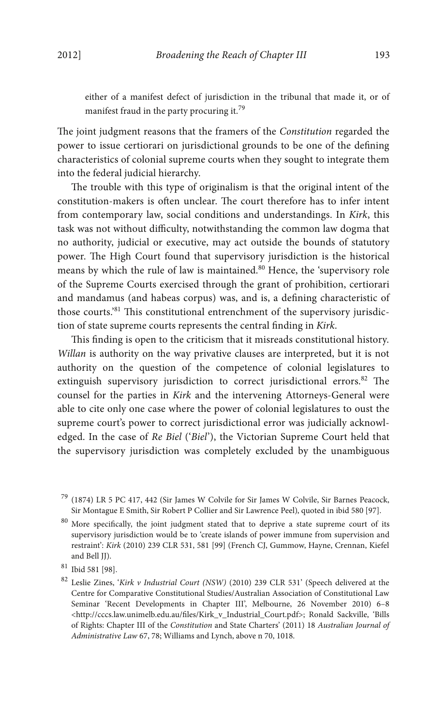either of a manifest defect of jurisdiction in the tribunal that made it, or of manifest fraud in the party procuring it.<sup>79</sup>

The joint judgment reasons that the framers of the *Constitution* regarded the power to issue certiorari on jurisdictional grounds to be one of the defining characteristics of colonial supreme courts when they sought to integrate them into the federal judicial hierarchy.

The trouble with this type of originalism is that the original intent of the constitution-makers is often unclear. The court therefore has to infer intent from contemporary law, social conditions and understandings. In *Kirk*, this task was not without difficulty, notwithstanding the common law dogma that no authority, judicial or executive, may act outside the bounds of statutory power. The High Court found that supervisory jurisdiction is the historical means by which the rule of law is maintained.<sup>80</sup> Hence, the 'supervisory role of the Supreme Courts exercised through the grant of prohibition, certiorari and mandamus (and habeas corpus) was, and is, a defining characteristic of those courts.'<sup>81</sup> This constitutional entrenchment of the supervisory jurisdiction of state supreme courts represents the central finding in *Kirk*.

This finding is open to the criticism that it misreads constitutional history. *Willan* is authority on the way privative clauses are interpreted, but it is not authority on the question of the competence of colonial legislatures to extinguish supervisory jurisdiction to correct jurisdictional errors. $82$  The counsel for the parties in *Kirk* and the intervening Attorneys-General were able to cite only one case where the power of colonial legislatures to oust the supreme court's power to correct jurisdictional error was judicially acknowledged. In the case of *Re Biel* ('*Biel*'), the Victorian Supreme Court held that the supervisory jurisdiction was completely excluded by the unambiguous

<sup>79</sup> (1874) LR 5 PC 417, 442 (Sir James W Colvile for Sir James W Colvile, Sir Barnes Peacock, Sir Montague E Smith, Sir Robert P Collier and Sir Lawrence Peel), quoted in ibid 580 [97].

 $80$  More specifically, the joint judgment stated that to deprive a state supreme court of its supervisory jurisdiction would be to 'create islands of power immune from supervision and restraint': *Kirk* (2010) 239 CLR 531, 581 [99] (French CJ, Gummow, Hayne, Crennan, Kiefel and Bell JJ).

<sup>81</sup> Ibid 581 [98].

<sup>82</sup> Leslie Zines, '*Kirk v Industrial Court (NSW)* (2010) 239 CLR 531' (Speech delivered at the Centre for Comparative Constitutional Studies/Australian Association of Constitutional Law Seminar 'Recent Developments in Chapter III', Melbourne, 26 November 2010) 6–8 <http://cccs.law.unimelb.edu.au/files/Kirk\_v\_Industrial\_Court.pdf>; Ronald Sackville, 'Bills of Rights: Chapter III of the *Constitution* and State Charters' (2011) 18 *Australian Journal of Administrative Law* 67, 78; Williams and Lynch, above n 70, 1018.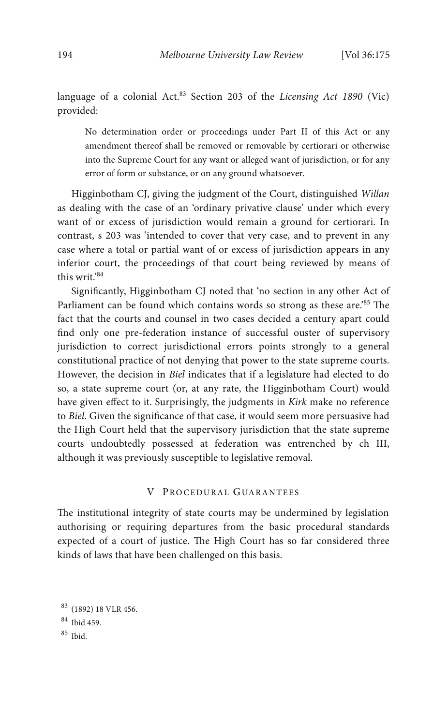language of a colonial Act.<sup>83</sup> Section 203 of the *Licensing Act 1890* (Vic) provided:

No determination order or proceedings under Part II of this Act or any amendment thereof shall be removed or removable by certiorari or otherwise into the Supreme Court for any want or alleged want of jurisdiction, or for any error of form or substance, or on any ground whatsoever.

Higginbotham CJ, giving the judgment of the Court, distinguished *Willan*  as dealing with the case of an 'ordinary privative clause' under which every want of or excess of jurisdiction would remain a ground for certiorari. In contrast, s 203 was 'intended to cover that very case, and to prevent in any case where a total or partial want of or excess of jurisdiction appears in any inferior court, the proceedings of that court being reviewed by means of this writ.' 84

Significantly, Higginbotham CJ noted that 'no section in any other Act of Parliament can be found which contains words so strong as these are.<sup>285</sup> The fact that the courts and counsel in two cases decided a century apart could find only one pre-federation instance of successful ouster of supervisory jurisdiction to correct jurisdictional errors points strongly to a general constitutional practice of not denying that power to the state supreme courts. However, the decision in *Biel* indicates that if a legislature had elected to do so, a state supreme court (or, at any rate, the Higginbotham Court) would have given effect to it. Surprisingly, the judgments in *Kirk* make no reference to *Biel*. Given the significance of that case, it would seem more persuasive had the High Court held that the supervisory jurisdiction that the state supreme courts undoubtedly possessed at federation was entrenched by ch III, although it was previously susceptible to legislative removal.

# V PROCEDURAL GUARANTEES

The institutional integrity of state courts may be undermined by legislation authorising or requiring departures from the basic procedural standards expected of a court of justice. The High Court has so far considered three kinds of laws that have been challenged on this basis.

<sup>83</sup> (1892) 18 VLR 456.

<sup>84</sup> Ibid 459.

 $85$  Ibid.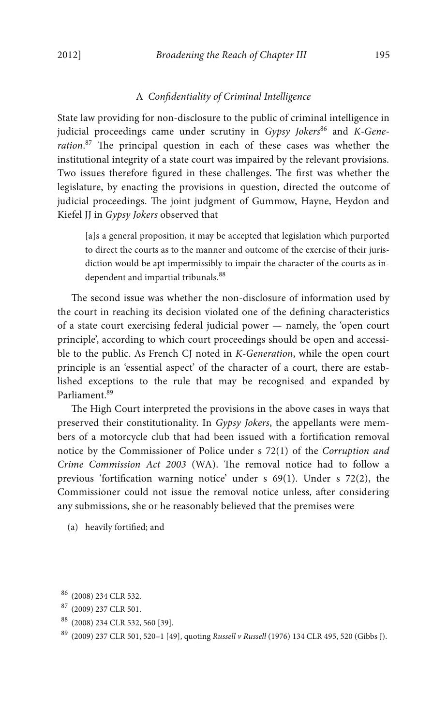## A *Condentiality of Criminal Intelligence*

State law providing for non-disclosure to the public of criminal intelligence in judicial proceedings came under scrutiny in *Gypsy Jokers<sup>86</sup>* and *K-Gene*ration.<sup>87</sup> The principal question in each of these cases was whether the institutional integrity of a state court was impaired by the relevant provisions. Two issues therefore figured in these challenges. The first was whether the legislature, by enacting the provisions in question, directed the outcome of judicial proceedings. The joint judgment of Gummow, Hayne, Heydon and Kiefel JJ in *Gypsy Jokers* observed that

[a]s a general proposition, it may be accepted that legislation which purported to direct the courts as to the manner and outcome of the exercise of their jurisdiction would be apt impermissibly to impair the character of the courts as independent and impartial tribunals.<sup>88</sup>

The second issue was whether the non-disclosure of information used by the court in reaching its decision violated one of the defining characteristics of a state court exercising federal judicial power — namely, the 'open court principle', according to which court proceedings should be open and accessible to the public. As French CJ noted in *K-Generation*, while the open court principle is an 'essential aspect' of the character of a court, there are established exceptions to the rule that may be recognised and expanded by Parliament.89

The High Court interpreted the provisions in the above cases in ways that preserved their constitutionality. In *Gypsy Jokers*, the appellants were members of a motorcycle club that had been issued with a fortification removal notice by the Commissioner of Police under s 72(1) of the *Corruption and Crime Commission Act 2003* (WA). The removal notice had to follow a previous 'fortification warning notice' under  $s$  69(1). Under  $s$  72(2), the Commissioner could not issue the removal notice unless, after considering any submissions, she or he reasonably believed that the premises were

(a) heavily fortified; and

- <sup>88</sup> (2008) 234 CLR 532, 560 [39].
- <sup>89</sup> (2009) 237 CLR 501, 520–1 [49], quoting *Russell v Russell* (1976) 134 CLR 495, 520 (Gibbs J).

<sup>86</sup> (2008) 234 CLR 532.

<sup>87</sup> (2009) 237 CLR 501.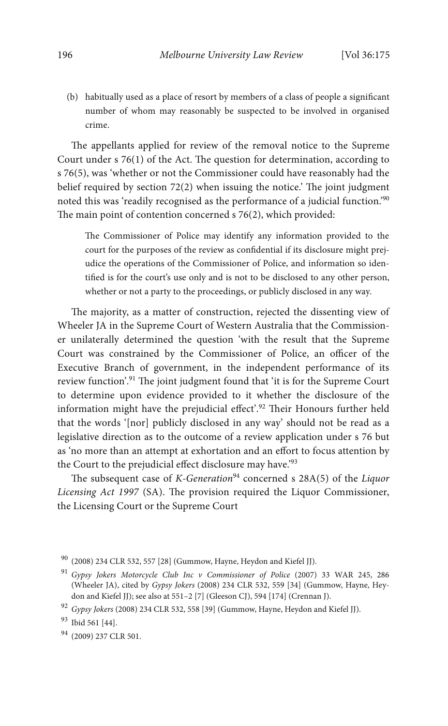(b) habitually used as a place of resort by members of a class of people a signicant number of whom may reasonably be suspected to be involved in organised crime.

The appellants applied for review of the removal notice to the Supreme Court under s  $76(1)$  of the Act. The question for determination, according to s 76(5), was 'whether or not the Commissioner could have reasonably had the belief required by section  $72(2)$  when issuing the notice.' The joint judgment noted this was 'readily recognised as the performance of a judicial function.' 90 The main point of contention concerned  $s$  76(2), which provided:

The Commissioner of Police may identify any information provided to the court for the purposes of the review as condential if its disclosure might prejudice the operations of the Commissioner of Police, and information so identified is for the court's use only and is not to be disclosed to any other person, whether or not a party to the proceedings, or publicly disclosed in any way.

The majority, as a matter of construction, rejected the dissenting view of Wheeler JA in the Supreme Court of Western Australia that the Commissioner unilaterally determined the question 'with the result that the Supreme Court was constrained by the Commissioner of Police, an officer of the Executive Branch of government, in the independent performance of its review function'.<sup>91</sup> The joint judgment found that 'it is for the Supreme Court to determine upon evidence provided to it whether the disclosure of the information might have the prejudicial effect'.<sup>92</sup> Their Honours further held that the words '[nor] publicly disclosed in any way' should not be read as a legislative direction as to the outcome of a review application under s 76 but as 'no more than an attempt at exhortation and an effort to focus attention by the Court to the prejudicial effect disclosure may have.'<sup>93</sup>

The subsequent case of *K-Generation*<sup>94</sup> concerned s 28A(5) of the *Liquor* Licensing Act 1997 (SA). The provision required the Liquor Commissioner, the Licensing Court or the Supreme Court

<sup>90</sup> (2008) 234 CLR 532, 557 [28] (Gummow, Hayne, Heydon and Kiefel JJ).

<sup>91</sup> *Gypsy Jokers Motorcycle Club Inc v Commissioner of Police* (2007) 33 WAR 245, 286 (Wheeler JA), cited by *Gypsy Jokers* (2008) 234 CLR 532, 559 [34] (Gummow, Hayne, Heydon and Kiefel JJ); see also at 551–2 [7] (Gleeson CJ), 594 [174] (Crennan J).

<sup>92</sup> *Gypsy Jokers* (2008) 234 CLR 532, 558 [39] (Gummow, Hayne, Heydon and Kiefel JJ).

<sup>93</sup> Ibid 561 [44].

<sup>94</sup> (2009) 237 CLR 501.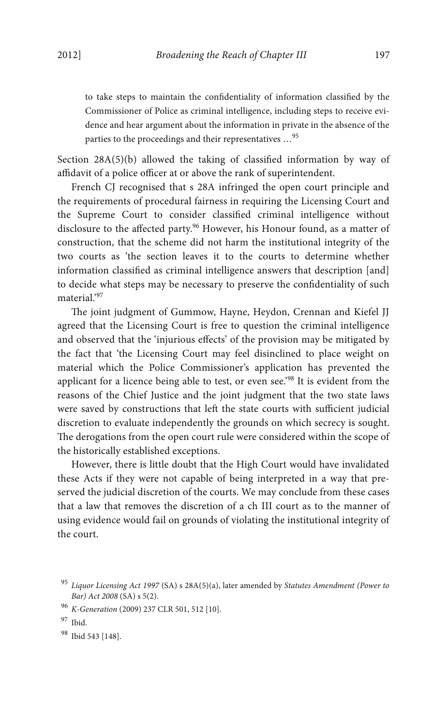to take steps to maintain the confidentiality of information classified by the Commissioner of Police as criminal intelligence, including steps to receive evidence and hear argument about the information in private in the absence of the parties to the proceedings and their representatives …<sup>95</sup>

Section  $28A(5)(b)$  allowed the taking of classified information by way of affidavit of a police officer at or above the rank of superintendent.

French CJ recognised that s 28A infringed the open court principle and the requirements of procedural fairness in requiring the Licensing Court and the Supreme Court to consider classified criminal intelligence without disclosure to the affected party.<sup>96</sup> However, his Honour found, as a matter of construction, that the scheme did not harm the institutional integrity of the two courts as 'the section leaves it to the courts to determine whether information classified as criminal intelligence answers that description [and] to decide what steps may be necessary to preserve the confidentiality of such material.'97

The joint judgment of Gummow, Hayne, Heydon, Crennan and Kiefel JJ agreed that the Licensing Court is free to question the criminal intelligence and observed that the 'injurious effects' of the provision may be mitigated by the fact that 'the Licensing Court may feel disinclined to place weight on material which the Police Commissioner's application has prevented the applicant for a licence being able to test, or even see.'<sup>98</sup> It is evident from the reasons of the Chief Justice and the joint judgment that the two state laws were saved by constructions that left the state courts with sufficient judicial discretion to evaluate independently the grounds on which secrecy is sought. The derogations from the open court rule were considered within the scope of the historically established exceptions.

However, there is little doubt that the High Court would have invalidated these Acts if they were not capable of being interpreted in a way that preserved the judicial discretion of the courts. We may conclude from these cases that a law that removes the discretion of a ch III court as to the manner of using evidence would fail on grounds of violating the institutional integrity of the court.

<sup>98</sup> Ibid 543 [148].

<sup>95</sup> *Liquor Licensing Act 1997* (SA) s 28A(5)(a), later amended by *Statutes Amendment (Power to Bar) Act 2008* (SA) s 5(2).

<sup>96</sup> *K-Generation* (2009) 237 CLR 501, 512 [10].

<sup>97</sup> Ibid.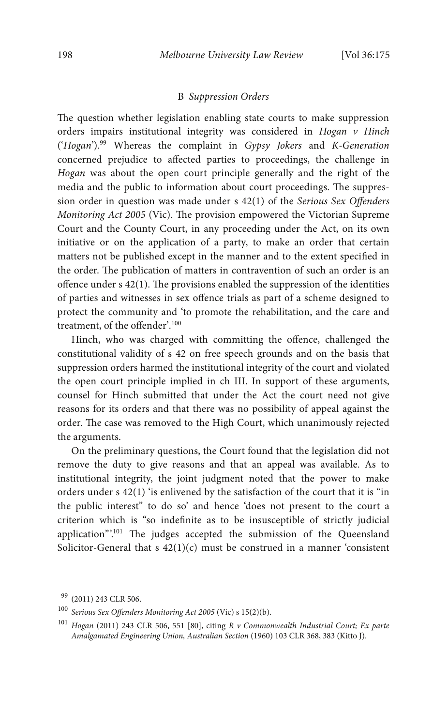#### B *Suppression Orders*

The question whether legislation enabling state courts to make suppression orders impairs institutional integrity was considered in *Hogan v Hinch* ('*Hogan*').99 Whereas the complaint in *Gypsy Jokers* and *K-Generation* concerned prejudice to affected parties to proceedings, the challenge in *Hogan* was about the open court principle generally and the right of the media and the public to information about court proceedings. The suppression order in question was made under s 42(1) of the *Serious Sex Offenders Monitoring Act 2005 (Vic)*. The provision empowered the Victorian Supreme Court and the County Court, in any proceeding under the Act, on its own initiative or on the application of a party, to make an order that certain matters not be published except in the manner and to the extent specified in the order. The publication of matters in contravention of such an order is an offence under  $s$  42(1). The provisions enabled the suppression of the identities of parties and witnesses in sex offence trials as part of a scheme designed to protect the community and 'to promote the rehabilitation, and the care and treatment, of the offender'. 100

Hinch, who was charged with committing the offence, challenged the constitutional validity of s 42 on free speech grounds and on the basis that suppression orders harmed the institutional integrity of the court and violated the open court principle implied in ch III. In support of these arguments, counsel for Hinch submitted that under the Act the court need not give reasons for its orders and that there was no possibility of appeal against the order. The case was removed to the High Court, which unanimously rejected the arguments.

On the preliminary questions, the Court found that the legislation did not remove the duty to give reasons and that an appeal was available. As to institutional integrity, the joint judgment noted that the power to make orders under s 42(1) 'is enlivened by the satisfaction of the court that it is "in the public interest" to do so' and hence 'does not present to the court a criterion which is "so indefinite as to be insusceptible of strictly judicial application".<sup>101</sup> The judges accepted the submission of the Queensland Solicitor-General that s  $42(1)(c)$  must be construed in a manner 'consistent'

<sup>99</sup> (2011) 243 CLR 506.

<sup>100</sup> *Serious Sex Offenders Monitoring Act 2005* (Vic) s 15(2)(b).

<sup>101</sup> *Hogan* (2011) 243 CLR 506, 551 [80], citing *R v Commonwealth Industrial Court; Ex parte Amalgamated Engineering Union, Australian Section* (1960) 103 CLR 368, 383 (Kitto J).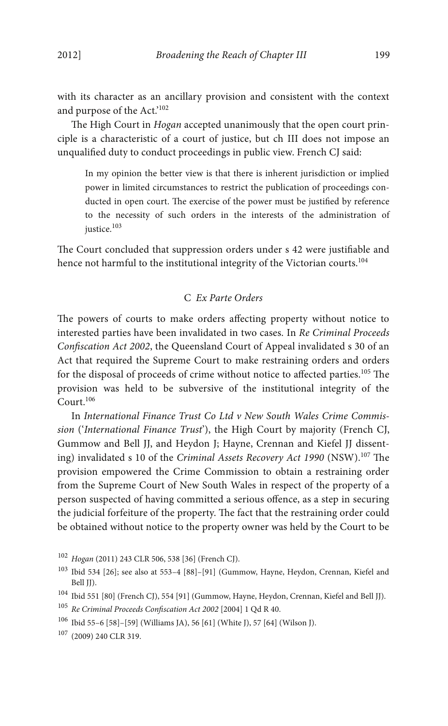with its character as an ancillary provision and consistent with the context and purpose of the Act.' 102

The High Court in *Hogan* accepted unanimously that the open court principle is a characteristic of a court of justice, but ch III does not impose an unqualified duty to conduct proceedings in public view. French CJ said:

In my opinion the better view is that there is inherent jurisdiction or implied power in limited circumstances to restrict the publication of proceedings conducted in open court. The exercise of the power must be justified by reference to the necessity of such orders in the interests of the administration of justice.<sup>103</sup>

The Court concluded that suppression orders under s 42 were justifiable and hence not harmful to the institutional integrity of the Victorian courts.<sup>104</sup>

# C *Ex Parte Orders*

The powers of courts to make orders affecting property without notice to interested parties have been invalidated in two cases. In *Re Criminal Proceeds*  Confiscation Act 2002, the Queensland Court of Appeal invalidated s 30 of an Act that required the Supreme Court to make restraining orders and orders for the disposal of proceeds of crime without notice to affected parties. $105$  The provision was held to be subversive of the institutional integrity of the Court<sup>106</sup>

In *International Finance Trust Co Ltd v New South Wales Crime Commission* ('*International Finance Trust*'), the High Court by majority (French CJ, Gummow and Bell JJ, and Heydon J; Hayne, Crennan and Kiefel JJ dissenting) invalidated s 10 of the *Criminal Assets Recovery Act 1990* (NSW).<sup>107</sup> The provision empowered the Crime Commission to obtain a restraining order from the Supreme Court of New South Wales in respect of the property of a person suspected of having committed a serious offence, as a step in securing the judicial forfeiture of the property. The fact that the restraining order could be obtained without notice to the property owner was held by the Court to be

<sup>102</sup> *Hogan* (2011) 243 CLR 506, 538 [36] (French CJ).

<sup>103</sup> Ibid 534 [26]; see also at 553–4 [88]–[91] (Gummow, Hayne, Heydon, Crennan, Kiefel and Bell JJ).

<sup>104</sup> Ibid 551 [80] (French CJ), 554 [91] (Gummow, Hayne, Heydon, Crennan, Kiefel and Bell JJ).

<sup>&</sup>lt;sup>105</sup> Re Criminal Proceeds Confiscation Act 2002 [2004] 1 Qd R 40.

<sup>106</sup> Ibid 55–6 [58]–[59] (Williams JA), 56 [61] (White J), 57 [64] (Wilson J).

<sup>107</sup> (2009) 240 CLR 319.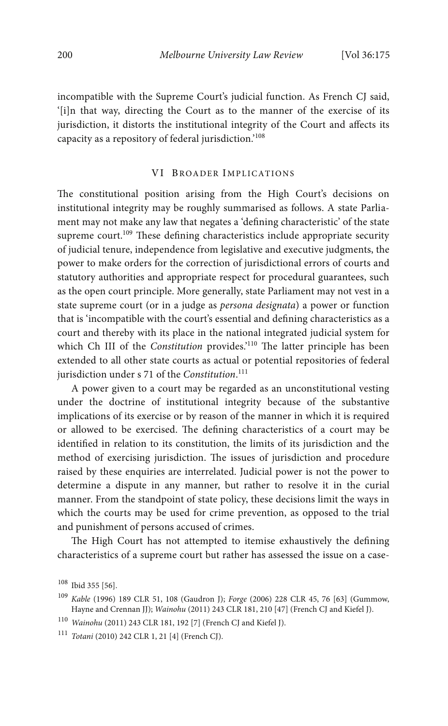incompatible with the Supreme Court's judicial function. As French CJ said, '[i]n that way, directing the Court as to the manner of the exercise of its jurisdiction, it distorts the institutional integrity of the Court and affects its capacity as a repository of federal jurisdiction.' 108

#### VI BROADER IMPLICATIONS

The constitutional position arising from the High Court's decisions on institutional integrity may be roughly summarised as follows. A state Parliament may not make any law that negates a 'defining characteristic' of the state supreme court.<sup>109</sup> These defining characteristics include appropriate security of judicial tenure, independence from legislative and executive judgments, the power to make orders for the correction of jurisdictional errors of courts and statutory authorities and appropriate respect for procedural guarantees, such as the open court principle. More generally, state Parliament may not vest in a state supreme court (or in a judge as *persona designata*) a power or function that is 'incompatible with the court's essential and defining characteristics as a court and thereby with its place in the national integrated judicial system for which Ch III of the *Constitution* provides.'<sup>110</sup> The latter principle has been extended to all other state courts as actual or potential repositories of federal jurisdiction under s 71 of the *Constitution*. 111

A power given to a court may be regarded as an unconstitutional vesting under the doctrine of institutional integrity because of the substantive implications of its exercise or by reason of the manner in which it is required or allowed to be exercised. The defining characteristics of a court may be identified in relation to its constitution, the limits of its jurisdiction and the method of exercising jurisdiction. The issues of jurisdiction and procedure raised by these enquiries are interrelated. Judicial power is not the power to determine a dispute in any manner, but rather to resolve it in the curial manner. From the standpoint of state policy, these decisions limit the ways in which the courts may be used for crime prevention, as opposed to the trial and punishment of persons accused of crimes.

The High Court has not attempted to itemise exhaustively the defining characteristics of a supreme court but rather has assessed the issue on a case-

<sup>108</sup> Ibid 355 [56].

<sup>109</sup> *Kable* (1996) 189 CLR 51, 108 (Gaudron J); *Forge* (2006) 228 CLR 45, 76 [63] (Gummow, Hayne and Crennan JJ); *Wainohu* (2011) 243 CLR 181, 210 [47] (French CJ and Kiefel J).

<sup>110</sup> *Wainohu* (2011) 243 CLR 181, 192 [7] (French CJ and Kiefel J).

<sup>111</sup> *Totani* (2010) 242 CLR 1, 21 [4] (French CJ).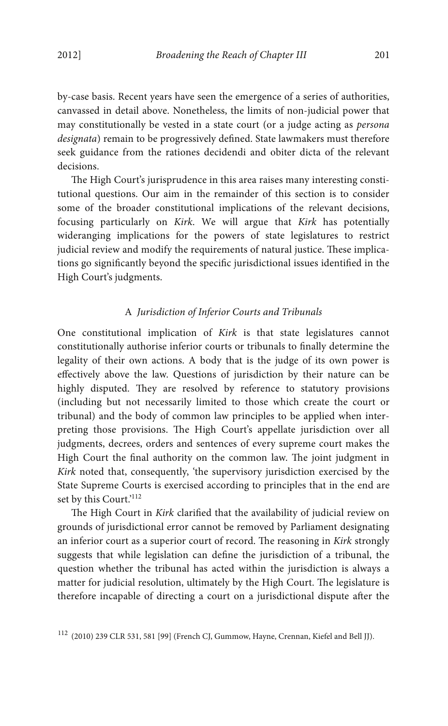by-case basis. Recent years have seen the emergence of a series of authorities, canvassed in detail above. Nonetheless, the limits of non-judicial power that may constitutionally be vested in a state court (or a judge acting as *persona designata*) remain to be progressively defined. State lawmakers must therefore seek guidance from the rationes decidendi and obiter dicta of the relevant decisions.

The High Court's jurisprudence in this area raises many interesting constitutional questions. Our aim in the remainder of this section is to consider some of the broader constitutional implications of the relevant decisions, focusing particularly on *Kirk*. We will argue that *Kirk* has potentially wideranging implications for the powers of state legislatures to restrict judicial review and modify the requirements of natural justice. These implications go significantly beyond the specific jurisdictional issues identified in the High Court's judgments.

## A *Jurisdiction of Inferior Courts and Tribunals*

One constitutional implication of *Kirk* is that state legislatures cannot constitutionally authorise inferior courts or tribunals to finally determine the legality of their own actions. A body that is the judge of its own power is effectively above the law. Questions of jurisdiction by their nature can be highly disputed. They are resolved by reference to statutory provisions (including but not necessarily limited to those which create the court or tribunal) and the body of common law principles to be applied when interpreting those provisions. The High Court's appellate jurisdiction over all judgments, decrees, orders and sentences of every supreme court makes the High Court the final authority on the common law. The joint judgment in *Kirk* noted that, consequently, 'the supervisory jurisdiction exercised by the State Supreme Courts is exercised according to principles that in the end are set by this Court.' 112

The High Court in *Kirk* clarified that the availability of judicial review on grounds of jurisdictional error cannot be removed by Parliament designating an inferior court as a superior court of record. The reasoning in *Kirk* strongly suggests that while legislation can define the jurisdiction of a tribunal, the question whether the tribunal has acted within the jurisdiction is always a matter for judicial resolution, ultimately by the High Court. The legislature is therefore incapable of directing a court on a jurisdictional dispute after the

<sup>112</sup> (2010) 239 CLR 531, 581 [99] (French CJ, Gummow, Hayne, Crennan, Kiefel and Bell JJ).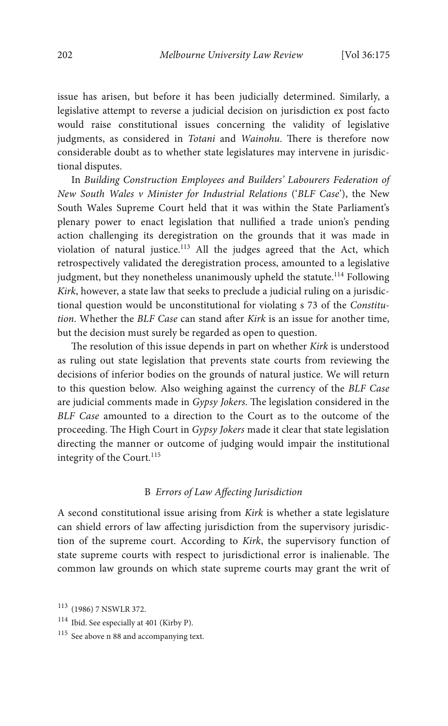issue has arisen, but before it has been judicially determined. Similarly, a legislative attempt to reverse a judicial decision on jurisdiction ex post facto would raise constitutional issues concerning the validity of legislative judgments, as considered in *Totani* and *Wainohu*. There is therefore now considerable doubt as to whether state legislatures may intervene in jurisdictional disputes.

In *Building Construction Employees and Builders' Labourers Federation of New South Wales v Minister for Industrial Relations* ('*BLF Case*'), the New South Wales Supreme Court held that it was within the State Parliament's plenary power to enact legislation that nullified a trade union's pending action challenging its deregistration on the grounds that it was made in violation of natural justice.<sup>113</sup> All the judges agreed that the Act, which retrospectively validated the deregistration process, amounted to a legislative judgment, but they nonetheless unanimously upheld the statute.<sup>114</sup> Following *Kirk*, however, a state law that seeks to preclude a judicial ruling on a jurisdictional question would be unconstitutional for violating s 73 of the *Constitution*. Whether the *BLF Case* can stand after *Kirk* is an issue for another time, but the decision must surely be regarded as open to question.

The resolution of this issue depends in part on whether *Kirk* is understood as ruling out state legislation that prevents state courts from reviewing the decisions of inferior bodies on the grounds of natural justice. We will return to this question below. Also weighing against the currency of the *BLF Case* are judicial comments made in *Gypsy Jokers*. The legislation considered in the *BLF Case* amounted to a direction to the Court as to the outcome of the proceeding. The High Court in *Gypsy Jokers* made it clear that state legislation directing the manner or outcome of judging would impair the institutional integrity of the Court.<sup>115</sup>

# B *Errors of Law Affecting Jurisdiction*

A second constitutional issue arising from *Kirk* is whether a state legislature can shield errors of law affecting jurisdiction from the supervisory jurisdiction of the supreme court. According to *Kirk*, the supervisory function of state supreme courts with respect to jurisdictional error is inalienable. The common law grounds on which state supreme courts may grant the writ of

<sup>113</sup> (1986) 7 NSWLR 372.

<sup>114</sup> Ibid. See especially at 401 (Kirby P).

<sup>115</sup> See above n 88 and accompanying text.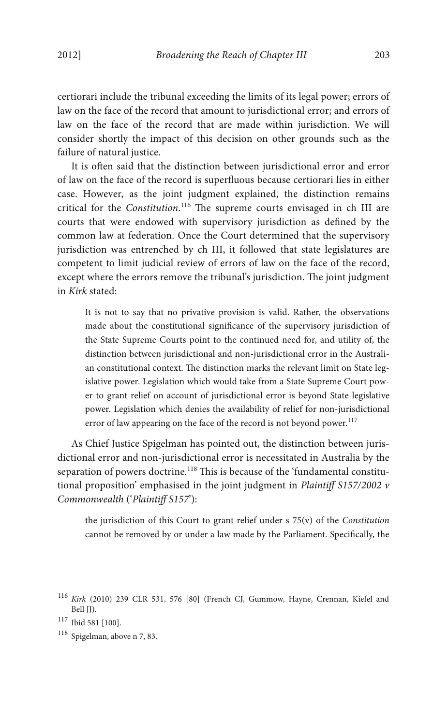certiorari include the tribunal exceeding the limits of its legal power; errors of law on the face of the record that amount to jurisdictional error; and errors of law on the face of the record that are made within jurisdiction. We will consider shortly the impact of this decision on other grounds such as the failure of natural justice.

It is often said that the distinction between jurisdictional error and error of law on the face of the record is superfluous because certiorari lies in either case. However, as the joint judgment explained, the distinction remains critical for the *Constitution*.<sup>116</sup> The supreme courts envisaged in ch III are courts that were endowed with supervisory jurisdiction as defined by the common law at federation. Once the Court determined that the supervisory jurisdiction was entrenched by ch III, it followed that state legislatures are competent to limit judicial review of errors of law on the face of the record, except where the errors remove the tribunal's jurisdiction. The joint judgment in *Kirk* stated:

It is not to say that no privative provision is valid. Rather, the observations made about the constitutional significance of the supervisory jurisdiction of the State Supreme Courts point to the continued need for, and utility of, the distinction between jurisdictional and non-jurisdictional error in the Australian constitutional context. The distinction marks the relevant limit on State legislative power. Legislation which would take from a State Supreme Court power to grant relief on account of jurisdictional error is beyond State legislative power. Legislation which denies the availability of relief for non-jurisdictional error of law appearing on the face of the record is not beyond power.<sup>117</sup>

As Chief Justice Spigelman has pointed out, the distinction between jurisdictional error and non-jurisdictional error is necessitated in Australia by the separation of powers doctrine.<sup>118</sup> This is because of the 'fundamental constitutional proposition' emphasised in the joint judgment in *Plaintiff S157/2002 v Commonwealth* ('*Plaintiff S157*'):

the jurisdiction of this Court to grant relief under s 75(v) of the *Constitution* cannot be removed by or under a law made by the Parliament. Specifically, the

<sup>118</sup> Spigelman, above n 7, 83.

<sup>116</sup> *Kirk* (2010) 239 CLR 531, 576 [80] (French CJ, Gummow, Hayne, Crennan, Kiefel and Bell JJ).

<sup>117</sup> Ibid 581 [100].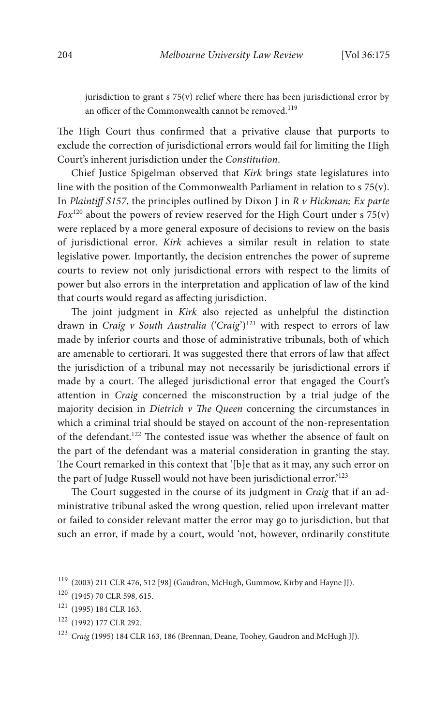jurisdiction to grant s 75(v) relief where there has been jurisdictional error by an officer of the Commonwealth cannot be removed.<sup>119</sup>

The High Court thus confirmed that a privative clause that purports to exclude the correction of jurisdictional errors would fail for limiting the High Court's inherent jurisdiction under the *Constitution*.

Chief Justice Spigelman observed that *Kirk* brings state legislatures into line with the position of the Commonwealth Parliament in relation to s 75(v). In *Plaintiff S157*, the principles outlined by Dixon J in *R v Hickman; Ex parte Fox*<sup>120</sup> about the powers of review reserved for the High Court under s  $75(y)$ were replaced by a more general exposure of decisions to review on the basis of jurisdictional error. *Kirk* achieves a similar result in relation to state legislative power. Importantly, the decision entrenches the power of supreme courts to review not only jurisdictional errors with respect to the limits of power but also errors in the interpretation and application of law of the kind that courts would regard as affecting jurisdiction.

The joint judgment in *Kirk* also rejected as unhelpful the distinction drawn in *Craig v South Australia* ('*Craig*') <sup>121</sup> with respect to errors of law made by inferior courts and those of administrative tribunals, both of which are amenable to certiorari. It was suggested there that errors of law that affect the jurisdiction of a tribunal may not necessarily be jurisdictional errors if made by a court. The alleged jurisdictional error that engaged the Court's attention in *Craig* concerned the misconstruction by a trial judge of the majority decision in *Dietrich v The Queen* concerning the circumstances in which a criminal trial should be stayed on account of the non-representation of the defendant.<sup>122</sup> The contested issue was whether the absence of fault on the part of the defendant was a material consideration in granting the stay. The Court remarked in this context that '[b]e that as it may, any such error on the part of Judge Russell would not have been jurisdictional error.' 123

The Court suggested in the course of its judgment in *Craig* that if an administrative tribunal asked the wrong question, relied upon irrelevant matter or failed to consider relevant matter the error may go to jurisdiction, but that such an error, if made by a court, would 'not, however, ordinarily constitute

<sup>122</sup> (1992) 177 CLR 292.

<sup>119</sup> (2003) 211 CLR 476, 512 [98] (Gaudron, McHugh, Gummow, Kirby and Hayne JJ).

<sup>120</sup> (1945) 70 CLR 598, 615.

<sup>121</sup> (1995) 184 CLR 163.

<sup>123</sup> *Craig* (1995) 184 CLR 163, 186 (Brennan, Deane, Toohey, Gaudron and McHugh JJ).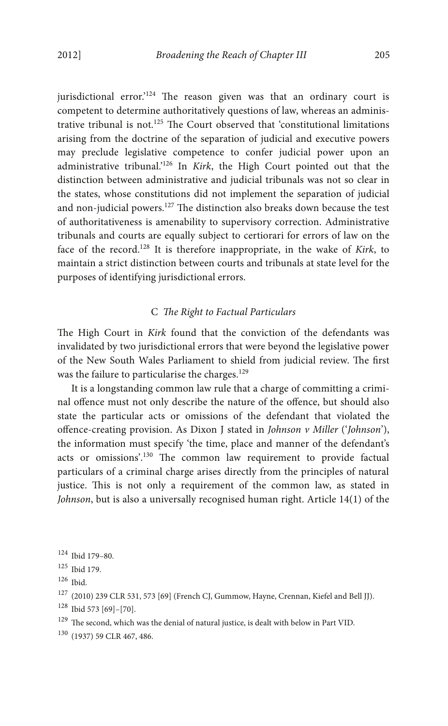jurisdictional error.'<sup>124</sup> The reason given was that an ordinary court is competent to determine authoritatively questions of law, whereas an administrative tribunal is not.<sup>125</sup> The Court observed that 'constitutional limitations arising from the doctrine of the separation of judicial and executive powers may preclude legislative competence to confer judicial power upon an administrative tribunal.' <sup>126</sup> In *Kirk*, the High Court pointed out that the distinction between administrative and judicial tribunals was not so clear in the states, whose constitutions did not implement the separation of judicial and non-judicial powers.<sup>127</sup> The distinction also breaks down because the test of authoritativeness is amenability to supervisory correction. Administrative tribunals and courts are equally subject to certiorari for errors of law on the face of the record.128 It is therefore inappropriate, in the wake of *Kirk*, to maintain a strict distinction between courts and tribunals at state level for the purposes of identifying jurisdictional errors.

## $C$  *The Right to Factual Particulars*

The High Court in *Kirk* found that the conviction of the defendants was invalidated by two jurisdictional errors that were beyond the legislative power of the New South Wales Parliament to shield from judicial review. The first was the failure to particularise the charges.<sup>129</sup>

It is a longstanding common law rule that a charge of committing a criminal offence must not only describe the nature of the offence, but should also state the particular acts or omissions of the defendant that violated the offence-creating provision. As Dixon J stated in *Johnson v Miller* ('*Johnson*'), the information must specify 'the time, place and manner of the defendant's acts or omissions'.<sup>130</sup> The common law requirement to provide factual particulars of a criminal charge arises directly from the principles of natural justice. This is not only a requirement of the common law, as stated in *Johnson*, but is also a universally recognised human right. Article 14(1) of the

<sup>124</sup> Ibid 179–80.

<sup>125</sup> Ibid 179.

<sup>126</sup> Ibid.

 $^{127}$  (2010) 239 CLR 531, 573 [69] (French CJ, Gummow, Hayne, Crennan, Kiefel and Bell JJ).

<sup>128</sup> Ibid 573 [69]–[70].

 $^{129}$  The second, which was the denial of natural justice, is dealt with below in Part VID.

<sup>130</sup> (1937) 59 CLR 467, 486.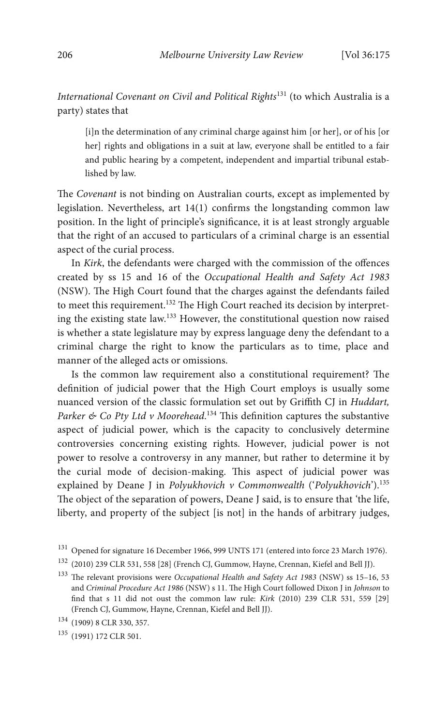*International Covenant on Civil and Political Rights*<sup>131</sup> (to which Australia is a party) states that

[i]n the determination of any criminal charge against him [or her], or of his [or her] rights and obligations in a suit at law, everyone shall be entitled to a fair and public hearing by a competent, independent and impartial tribunal established by law.

The *Covenant* is not binding on Australian courts, except as implemented by legislation. Nevertheless, art  $14(1)$  confirms the longstanding common law position. In the light of principle's signicance, it is at least strongly arguable that the right of an accused to particulars of a criminal charge is an essential aspect of the curial process.

In *Kirk*, the defendants were charged with the commission of the offences created by ss 15 and 16 of the *Occupational Health and Safety Act 1983* (NSW). The High Court found that the charges against the defendants failed to meet this requirement.<sup>132</sup> The High Court reached its decision by interpreting the existing state law.<sup>133</sup> However, the constitutional question now raised is whether a state legislature may by express language deny the defendant to a criminal charge the right to know the particulars as to time, place and manner of the alleged acts or omissions.

Is the common law requirement also a constitutional requirement? The definition of judicial power that the High Court employs is usually some nuanced version of the classic formulation set out by Griffith CJ in *Huddart,*  Parker & Co Pty Ltd v Moorehead.<sup>134</sup> This definition captures the substantive aspect of judicial power, which is the capacity to conclusively determine controversies concerning existing rights. However, judicial power is not power to resolve a controversy in any manner, but rather to determine it by the curial mode of decision-making. This aspect of judicial power was explained by Deane J in *Polyukhovich v Commonwealth* ('*Polyukhovich*').<sup>135</sup> The object of the separation of powers, Deane J said, is to ensure that 'the life, liberty, and property of the subject [is not] in the hands of arbitrary judges,

<sup>131</sup> Opened for signature 16 December 1966, 999 UNTS 171 (entered into force 23 March 1976).

<sup>132</sup> (2010) 239 CLR 531, 558 [28] (French CJ, Gummow, Hayne, Crennan, Kiefel and Bell JJ).

<sup>&</sup>lt;sup>133</sup> The relevant provisions were *Occupational Health and Safety Act 1983* (NSW) ss 15-16, 53 and *Criminal Procedure Act 1986* (NSW) s 11. The High Court followed Dixon J in *Johnson* to nd that s 11 did not oust the common law rule: *Kirk* (2010) 239 CLR 531, 559 [29] (French CJ, Gummow, Hayne, Crennan, Kiefel and Bell JJ).

<sup>134</sup> (1909) 8 CLR 330, 357.

<sup>135</sup> (1991) 172 CLR 501.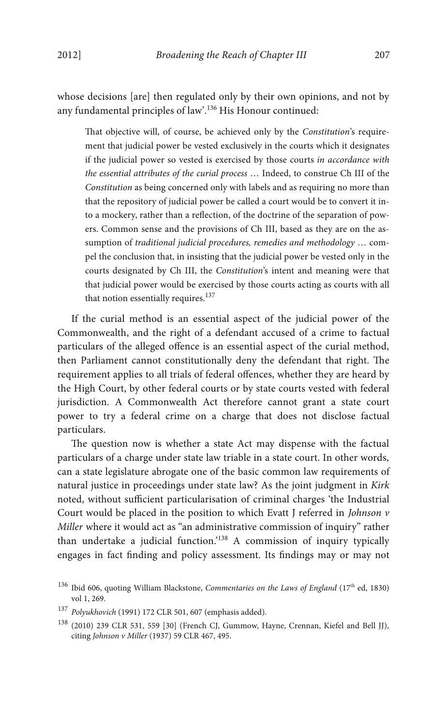whose decisions [are] then regulated only by their own opinions, and not by any fundamental principles of law'.<sup>136</sup> His Honour continued:

at objective will, of course, be achieved only by the *Constitution*'s requirement that judicial power be vested exclusively in the courts which it designates if the judicial power so vested is exercised by those courts *in accordance with the essential attributes of the curial process* … Indeed, to construe Ch III of the *Constitution* as being concerned only with labels and as requiring no more than that the repository of judicial power be called a court would be to convert it into a mockery, rather than a reflection, of the doctrine of the separation of powers. Common sense and the provisions of Ch III, based as they are on the assumption of *traditional judicial procedures, remedies and methodology* … compel the conclusion that, in insisting that the judicial power be vested only in the courts designated by Ch III, the *Constitution*'s intent and meaning were that that judicial power would be exercised by those courts acting as courts with all that notion essentially requires.<sup>137</sup>

If the curial method is an essential aspect of the judicial power of the Commonwealth, and the right of a defendant accused of a crime to factual particulars of the alleged offence is an essential aspect of the curial method, then Parliament cannot constitutionally deny the defendant that right. The requirement applies to all trials of federal offences, whether they are heard by the High Court, by other federal courts or by state courts vested with federal jurisdiction. A Commonwealth Act therefore cannot grant a state court power to try a federal crime on a charge that does not disclose factual particulars.

The question now is whether a state Act may dispense with the factual particulars of a charge under state law triable in a state court. In other words, can a state legislature abrogate one of the basic common law requirements of natural justice in proceedings under state law? As the joint judgment in *Kirk*  noted, without sufficient particularisation of criminal charges 'the Industrial Court would be placed in the position to which Evatt J referred in *Johnson v Miller* where it would act as "an administrative commission of inquiry" rather than undertake a judicial function.'<sup>138</sup> A commission of inquiry typically engages in fact finding and policy assessment. Its findings may or may not

<sup>136</sup> Ibid 606, quoting William Blackstone, *Commentaries on the Laws of England* (17<sup>th</sup> ed, 1830) vol 1, 269.

<sup>137</sup> *Polyukhovich* (1991) 172 CLR 501, 607 (emphasis added).

<sup>138</sup> (2010) 239 CLR 531, 559 [30] (French CJ, Gummow, Hayne, Crennan, Kiefel and Bell JJ), citing *Johnson v Miller* (1937) 59 CLR 467, 495.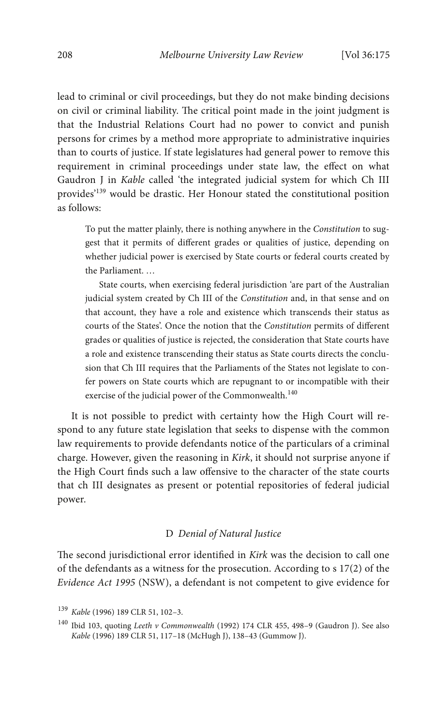lead to criminal or civil proceedings, but they do not make binding decisions on civil or criminal liability. The critical point made in the joint judgment is that the Industrial Relations Court had no power to convict and punish persons for crimes by a method more appropriate to administrative inquiries than to courts of justice. If state legislatures had general power to remove this requirement in criminal proceedings under state law, the effect on what Gaudron J in *Kable* called 'the integrated judicial system for which Ch III provides' <sup>139</sup> would be drastic. Her Honour stated the constitutional position as follows:

To put the matter plainly, there is nothing anywhere in the *Constitution* to suggest that it permits of different grades or qualities of justice, depending on whether judicial power is exercised by State courts or federal courts created by the Parliament. …

State courts, when exercising federal jurisdiction 'are part of the Australian judicial system created by Ch III of the *Constitution* and, in that sense and on that account, they have a role and existence which transcends their status as courts of the States'. Once the notion that the *Constitution* permits of different grades or qualities of justice is rejected, the consideration that State courts have a role and existence transcending their status as State courts directs the conclusion that Ch III requires that the Parliaments of the States not legislate to confer powers on State courts which are repugnant to or incompatible with their exercise of the judicial power of the Commonwealth.<sup>140</sup>

It is not possible to predict with certainty how the High Court will respond to any future state legislation that seeks to dispense with the common law requirements to provide defendants notice of the particulars of a criminal charge. However, given the reasoning in *Kirk*, it should not surprise anyone if the High Court finds such a law offensive to the character of the state courts that ch III designates as present or potential repositories of federal judicial power.

## D *Denial of Natural Justice*

The second jurisdictional error identified in *Kirk* was the decision to call one of the defendants as a witness for the prosecution. According to s 17(2) of the *Evidence Act 1995* (NSW), a defendant is not competent to give evidence for

<sup>139</sup> *Kable* (1996) 189 CLR 51, 102–3.

<sup>140</sup> Ibid 103, quoting *Leeth v Commonwealth* (1992) 174 CLR 455, 498–9 (Gaudron J). See also *Kable* (1996) 189 CLR 51, 117–18 (McHugh J), 138–43 (Gummow J).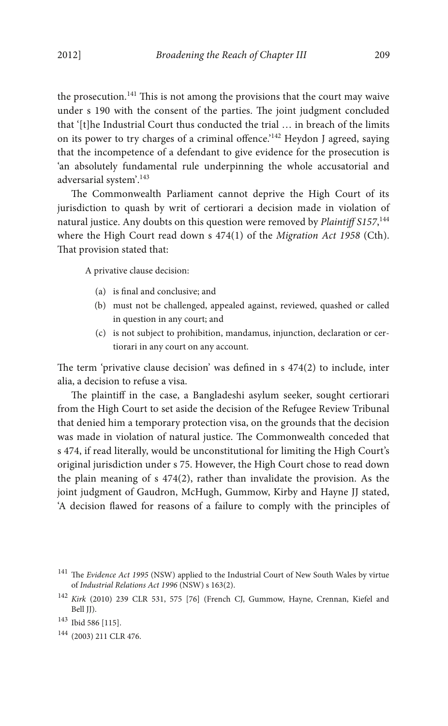the prosecution.<sup>141</sup> This is not among the provisions that the court may waive under s 190 with the consent of the parties. The joint judgment concluded that '[t]he Industrial Court thus conducted the trial … in breach of the limits on its power to try charges of a criminal offence.<sup>'142</sup> Heydon J agreed, saying that the incompetence of a defendant to give evidence for the prosecution is 'an absolutely fundamental rule underpinning the whole accusatorial and adversarial system'. 143

The Commonwealth Parliament cannot deprive the High Court of its jurisdiction to quash by writ of certiorari a decision made in violation of natural justice. Any doubts on this question were removed by *Plaintiff S157*, 144 where the High Court read down s 474(1) of the *Migration Act 1958* (Cth). That provision stated that:

A privative clause decision:

- (a) is final and conclusive; and
- (b) must not be challenged, appealed against, reviewed, quashed or called in question in any court; and
- (c) is not subject to prohibition, mandamus, injunction, declaration or certiorari in any court on any account.

The term 'privative clause decision' was defined in  $s$  474(2) to include, inter alia, a decision to refuse a visa.

The plaintiff in the case, a Bangladeshi asylum seeker, sought certiorari from the High Court to set aside the decision of the Refugee Review Tribunal that denied him a temporary protection visa, on the grounds that the decision was made in violation of natural justice. The Commonwealth conceded that s 474, if read literally, would be unconstitutional for limiting the High Court's original jurisdiction under s 75. However, the High Court chose to read down the plain meaning of s 474(2), rather than invalidate the provision. As the joint judgment of Gaudron, McHugh, Gummow, Kirby and Hayne JJ stated, 'A decision flawed for reasons of a failure to comply with the principles of

<sup>144</sup> (2003) 211 CLR 476.

<sup>&</sup>lt;sup>141</sup> The *Evidence Act 1995* (NSW) applied to the Industrial Court of New South Wales by virtue of *Industrial Relations Act 1996* (NSW) s 163(2).

<sup>142</sup> *Kirk* (2010) 239 CLR 531, 575 [76] (French CJ, Gummow, Hayne, Crennan, Kiefel and Bell JJ).

<sup>143</sup> Ibid 586 [115].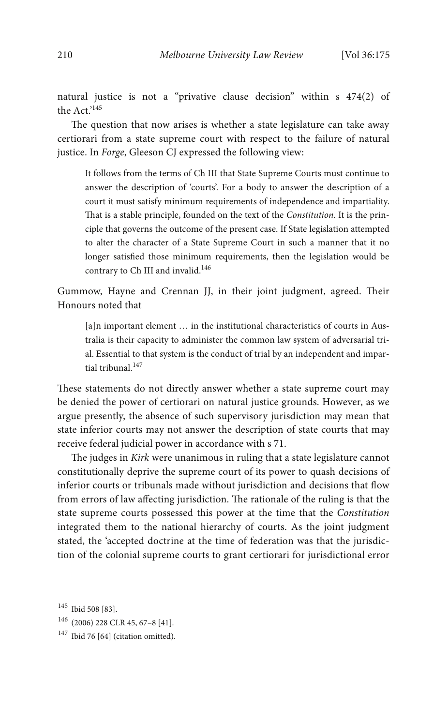natural justice is not a "privative clause decision" within s 474(2) of the Act.' 145

The question that now arises is whether a state legislature can take away certiorari from a state supreme court with respect to the failure of natural justice. In *Forge*, Gleeson CJ expressed the following view:

It follows from the terms of Ch III that State Supreme Courts must continue to answer the description of 'courts'. For a body to answer the description of a court it must satisfy minimum requirements of independence and impartiality. That is a stable principle, founded on the text of the *Constitution*. It is the principle that governs the outcome of the present case. If State legislation attempted to alter the character of a State Supreme Court in such a manner that it no longer satisfied those minimum requirements, then the legislation would be contrary to Ch III and invalid.<sup>146</sup>

Gummow, Hayne and Crennan JJ, in their joint judgment, agreed. Their Honours noted that

[a]n important element ... in the institutional characteristics of courts in Australia is their capacity to administer the common law system of adversarial trial. Essential to that system is the conduct of trial by an independent and impartial tribunal.<sup>147</sup>

These statements do not directly answer whether a state supreme court may be denied the power of certiorari on natural justice grounds. However, as we argue presently, the absence of such supervisory jurisdiction may mean that state inferior courts may not answer the description of state courts that may receive federal judicial power in accordance with s 71.

The judges in *Kirk* were unanimous in ruling that a state legislature cannot constitutionally deprive the supreme court of its power to quash decisions of inferior courts or tribunals made without jurisdiction and decisions that flow from errors of law affecting jurisdiction. The rationale of the ruling is that the state supreme courts possessed this power at the time that the *Constitution* integrated them to the national hierarchy of courts. As the joint judgment stated, the 'accepted doctrine at the time of federation was that the jurisdiction of the colonial supreme courts to grant certiorari for jurisdictional error

- <sup>146</sup> (2006) 228 CLR 45, 67–8 [41].
- <sup>147</sup> Ibid 76 [64] (citation omitted).

<sup>145</sup> Ibid 508 [83].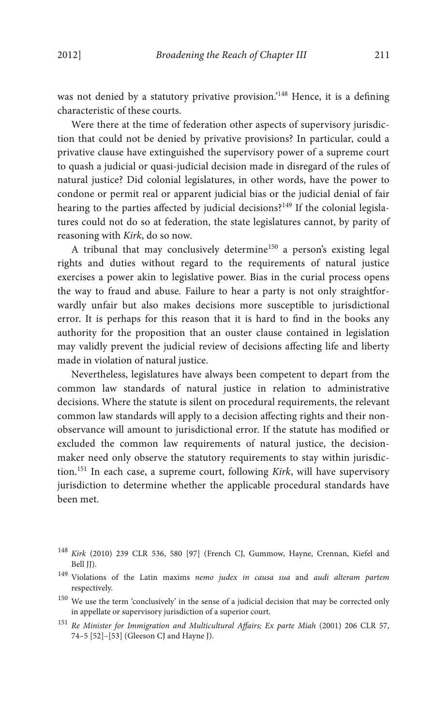was not denied by a statutory privative provision.'<sup>148</sup> Hence, it is a defining characteristic of these courts.

Were there at the time of federation other aspects of supervisory jurisdiction that could not be denied by privative provisions? In particular, could a privative clause have extinguished the supervisory power of a supreme court to quash a judicial or quasi-judicial decision made in disregard of the rules of natural justice? Did colonial legislatures, in other words, have the power to condone or permit real or apparent judicial bias or the judicial denial of fair hearing to the parties affected by judicial decisions?<sup>149</sup> If the colonial legislatures could not do so at federation, the state legislatures cannot, by parity of reasoning with *Kirk*, do so now.

A tribunal that may conclusively determine<sup>150</sup> a person's existing legal rights and duties without regard to the requirements of natural justice exercises a power akin to legislative power. Bias in the curial process opens the way to fraud and abuse. Failure to hear a party is not only straightforwardly unfair but also makes decisions more susceptible to jurisdictional error. It is perhaps for this reason that it is hard to find in the books any authority for the proposition that an ouster clause contained in legislation may validly prevent the judicial review of decisions affecting life and liberty made in violation of natural justice.

Nevertheless, legislatures have always been competent to depart from the common law standards of natural justice in relation to administrative decisions. Where the statute is silent on procedural requirements, the relevant common law standards will apply to a decision affecting rights and their nonobservance will amount to jurisdictional error. If the statute has modified or excluded the common law requirements of natural justice, the decisionmaker need only observe the statutory requirements to stay within jurisdiction.<sup>151</sup> In each case, a supreme court, following *Kirk*, will have supervisory jurisdiction to determine whether the applicable procedural standards have been met.

- <sup>148</sup> *Kirk* (2010) 239 CLR 536, 580 [97] (French CJ, Gummow, Hayne, Crennan, Kiefel and Bell JJ).
- <sup>149</sup> Violations of the Latin maxims *nemo judex in causa sua* and *audi alteram partem* respectively.
- <sup>150</sup> We use the term 'conclusively' in the sense of a judicial decision that may be corrected only in appellate or supervisory jurisdiction of a superior court.
- <sup>151</sup> *Re Minister for Immigration and Multicultural Affairs; Ex parte Miah* (2001) 206 CLR 57, 74–5 [52]–[53] (Gleeson CJ and Hayne J).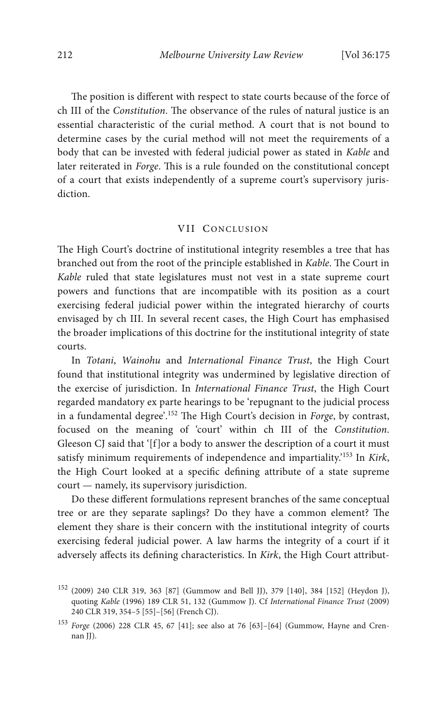The position is different with respect to state courts because of the force of ch III of the *Constitution*. The observance of the rules of natural justice is an essential characteristic of the curial method. A court that is not bound to determine cases by the curial method will not meet the requirements of a body that can be invested with federal judicial power as stated in *Kable* and later reiterated in *Forge*. This is a rule founded on the constitutional concept of a court that exists independently of a supreme court's supervisory jurisdiction.

## VII CONCLUSION

The High Court's doctrine of institutional integrity resembles a tree that has branched out from the root of the principle established in *Kable*. The Court in *Kable* ruled that state legislatures must not vest in a state supreme court powers and functions that are incompatible with its position as a court exercising federal judicial power within the integrated hierarchy of courts envisaged by ch III. In several recent cases, the High Court has emphasised the broader implications of this doctrine for the institutional integrity of state courts.

In *Totani*, *Wainohu* and *International Finance Trust*, the High Court found that institutional integrity was undermined by legislative direction of the exercise of jurisdiction. In *International Finance Trust*, the High Court regarded mandatory ex parte hearings to be 'repugnant to the judicial process in a fundamental degree'. <sup>152</sup> e High Court's decision in *Forge*, by contrast, focused on the meaning of 'court' within ch III of the *Constitution*. Gleeson CJ said that '[f]or a body to answer the description of a court it must satisfy minimum requirements of independence and impartiality.' <sup>153</sup> In *Kirk*, the High Court looked at a specific defining attribute of a state supreme court — namely, its supervisory jurisdiction.

Do these different formulations represent branches of the same conceptual tree or are they separate saplings? Do they have a common element? The element they share is their concern with the institutional integrity of courts exercising federal judicial power. A law harms the integrity of a court if it adversely affects its defining characteristics. In *Kirk*, the High Court attribut-

<sup>152</sup> (2009) 240 CLR 319, 363 [87] (Gummow and Bell JJ), 379 [140], 384 [152] (Heydon J), quoting *Kable* (1996) 189 CLR 51, 132 (Gummow J). Cf *International Finance Trust* (2009) 240 CLR 319, 354–5 [55]–[56] (French CJ).

<sup>153</sup> *Forge* (2006) 228 CLR 45, 67 [41]; see also at 76 [63]–[64] (Gummow, Hayne and Crennan JJ).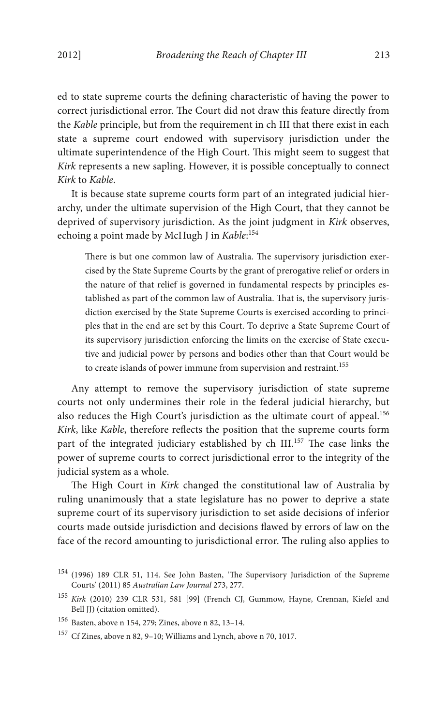ed to state supreme courts the defining characteristic of having the power to correct jurisdictional error. The Court did not draw this feature directly from the *Kable* principle, but from the requirement in ch III that there exist in each state a supreme court endowed with supervisory jurisdiction under the ultimate superintendence of the High Court. This might seem to suggest that *Kirk* represents a new sapling. However, it is possible conceptually to connect *Kirk* to *Kable*.

It is because state supreme courts form part of an integrated judicial hierarchy, under the ultimate supervision of the High Court, that they cannot be deprived of supervisory jurisdiction. As the joint judgment in *Kirk* observes, echoing a point made by McHugh J in *Kable*: 154

There is but one common law of Australia. The supervisory jurisdiction exercised by the State Supreme Courts by the grant of prerogative relief or orders in the nature of that relief is governed in fundamental respects by principles established as part of the common law of Australia. That is, the supervisory jurisdiction exercised by the State Supreme Courts is exercised according to principles that in the end are set by this Court. To deprive a State Supreme Court of its supervisory jurisdiction enforcing the limits on the exercise of State executive and judicial power by persons and bodies other than that Court would be to create islands of power immune from supervision and restraint.<sup>155</sup>

Any attempt to remove the supervisory jurisdiction of state supreme courts not only undermines their role in the federal judicial hierarchy, but also reduces the High Court's jurisdiction as the ultimate court of appeal.<sup>156</sup> *Kirk*, like *Kable*, therefore reflects the position that the supreme courts form part of the integrated judiciary established by ch III.<sup>157</sup> The case links the power of supreme courts to correct jurisdictional error to the integrity of the judicial system as a whole.

The High Court in *Kirk* changed the constitutional law of Australia by ruling unanimously that a state legislature has no power to deprive a state supreme court of its supervisory jurisdiction to set aside decisions of inferior courts made outside jurisdiction and decisions flawed by errors of law on the face of the record amounting to jurisdictional error. The ruling also applies to

<sup>&</sup>lt;sup>154</sup> (1996) 189 CLR 51, 114. See John Basten, 'The Supervisory Jurisdiction of the Supreme Courts' (2011) 85 *Australian Law Journal* 273, 277.

<sup>155</sup> *Kirk* (2010) 239 CLR 531, 581 [99] (French CJ, Gummow, Hayne, Crennan, Kiefel and Bell JJ) (citation omitted).

<sup>156</sup> Basten, above n 154, 279; Zines, above n 82, 13–14.

<sup>157</sup> Cf Zines, above n 82, 9–10; Williams and Lynch, above n 70, 1017.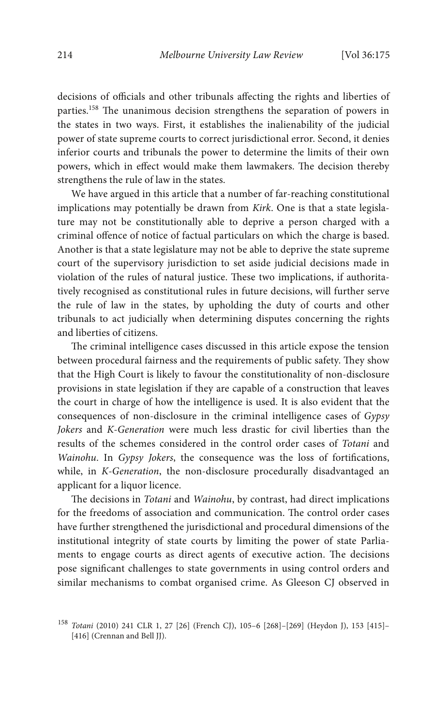decisions of officials and other tribunals affecting the rights and liberties of parties.<sup>158</sup> The unanimous decision strengthens the separation of powers in the states in two ways. First, it establishes the inalienability of the judicial power of state supreme courts to correct jurisdictional error. Second, it denies inferior courts and tribunals the power to determine the limits of their own powers, which in effect would make them lawmakers. The decision thereby strengthens the rule of law in the states.

We have argued in this article that a number of far-reaching constitutional implications may potentially be drawn from *Kirk*. One is that a state legislature may not be constitutionally able to deprive a person charged with a criminal offence of notice of factual particulars on which the charge is based. Another is that a state legislature may not be able to deprive the state supreme court of the supervisory jurisdiction to set aside judicial decisions made in violation of the rules of natural justice. These two implications, if authoritatively recognised as constitutional rules in future decisions, will further serve the rule of law in the states, by upholding the duty of courts and other tribunals to act judicially when determining disputes concerning the rights and liberties of citizens.

The criminal intelligence cases discussed in this article expose the tension between procedural fairness and the requirements of public safety. They show that the High Court is likely to favour the constitutionality of non-disclosure provisions in state legislation if they are capable of a construction that leaves the court in charge of how the intelligence is used. It is also evident that the consequences of non-disclosure in the criminal intelligence cases of *Gypsy Jokers* and *K-Generation* were much less drastic for civil liberties than the results of the schemes considered in the control order cases of *Totani* and *Wainohu*. In *Gypsy Jokers*, the consequence was the loss of fortifications, while, in *K-Generation*, the non-disclosure procedurally disadvantaged an applicant for a liquor licence.

e decisions in *Totani* and *Wainohu*, by contrast, had direct implications for the freedoms of association and communication. The control order cases have further strengthened the jurisdictional and procedural dimensions of the institutional integrity of state courts by limiting the power of state Parliaments to engage courts as direct agents of executive action. The decisions pose significant challenges to state governments in using control orders and similar mechanisms to combat organised crime. As Gleeson CJ observed in

<sup>158</sup> *Totani* (2010) 241 CLR 1, 27 [26] (French CJ), 105–6 [268]–[269] (Heydon J), 153 [415]– [416] (Crennan and Bell JJ).